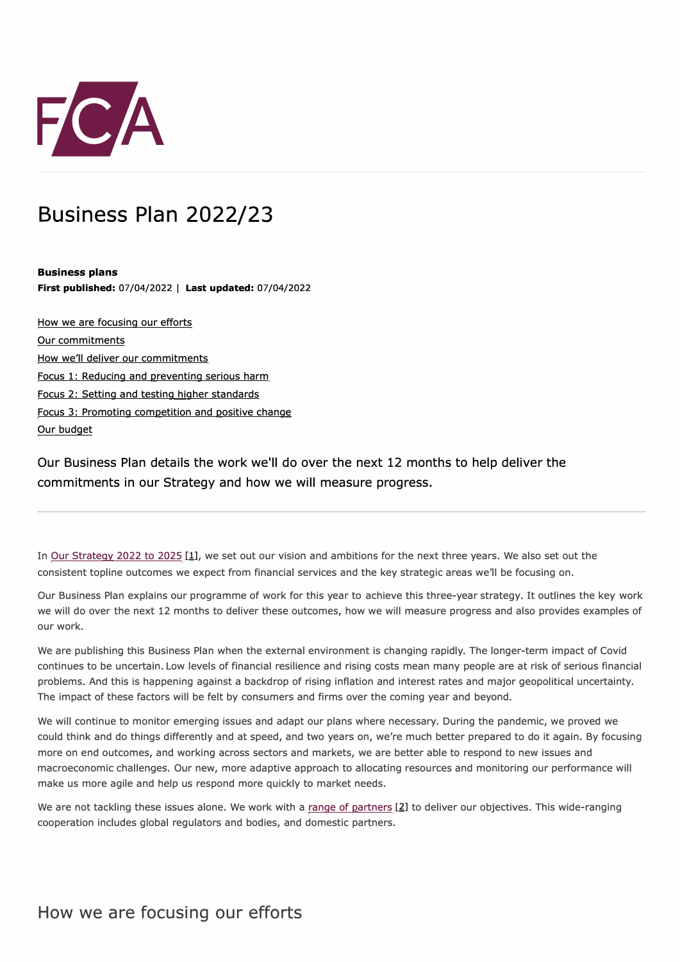

# Business Plan 2022/23

**Business plans First published:** 07/04/2022 I **Last updated:** 07/04/2022

How we are focusing our efforts Our commitments How we'll deliver our commitments Focus 1: Reducing and preventing serious harm Focus 2: Setting and testing higher standards Focus 3: Promoting competition and positive change Our budget

Our Business Plan details the work we'll do over the next 12 months to help deliver the commitments in our Strategy and how we will measure progress.

In Our Strategy 2022 to 2025 [1], we set out our vision and ambitions for the next three years. We also set out the consistent topline outcomes we expect from financial services and the key strategic areas we'll be focusing on.

Our Business Plan explains our programme of work for this year to achieve this three-year strategy. It outlines the key work we will do over the next 12 months to deliver these outcomes, how we will measure progress and also provides examples of our work.

We are publishing this Business Plan when the external environment is changing rapidly. The longer-term impact of Covid continues to be uncertain. Low levels of financial resilience and rising costs mean many people are at risk of serious financial problems. And this is happening against a backdrop of rising inflation and interest rates and major geopolitical uncertainty. The impact of these factors will be felt by consumers and firms over the coming year and beyond.

We will continue to monitor emerging issues and adapt our plans where necessary. During the pandemic, we proved we could think and do things differently and at speed, and two years on, we're much better prepared to do it again. By focusing more on end outcomes, and working across sectors and markets, we are better able to respond to new issues and macroeconomic challenges. Our new, more adaptive approach to allocating resources and monitoring our performance will make us more agile and help us respond more quickly to market needs.

We are not tackling these issues alone. We work with a range of partners  $[2]$  to deliver our objectives. This wide-ranging cooperation includes global regulators and bodies, and domestic partners.

How we are focusing our efforts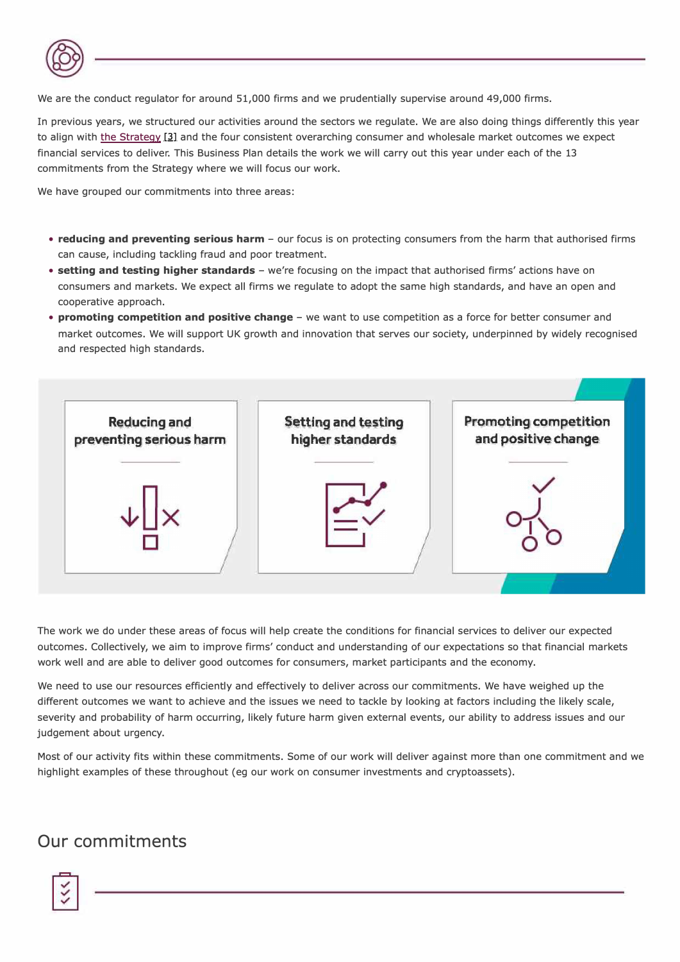

We are the conduct regulator for around 51,000 firms and we prudentially supervise around 49,000 firms.

In previous years, we structured our activities around the sectors we regulate. We are also doing things differently this year to align with the Strategy [3] and the four consistent overarching consumer and wholesale market outcomes we expect financial services to deliver. This Business Plan details the work we will carry out this year under each of the 13 commitments from the Strategy where we will focus our work.

We hav*e* group*e*d our commitm*e*nts into thr*ee* **a**r*e***a**s:

- . reducing and preventing serious harm our focus is on protecting consumers from the harm that authorised firms c**a**n c**a***u*s*e*, inc**l***u***d**ing t**a**ck**l**ing f*r***a***u***d a**n**d** poo*r* t*re***a**tm*e*nt.
- setting and testing higher standards we're focusing on the impact that authorised firms' actions have on consumers and markets. We expect all firms we regulate to adopt the same high standards, and have an open and coop*er***a**tiv*e* **a**pp*r*o**a**ch.
- . promoting competition and positive change we want to use competition as a force for better consumer and market outcomes. We will support UK growth and innovation that serves our society, underpinned by widely recognised **a**n**d** *re*sp*e*ct*e***d** high st**a**n**da***r***d**s.



The work we do under these areas of focus will help create the conditions for financial services to deliver our expected outcomes. Collectively, we aim to improve firms' conduct and understanding of our expectations so that financial markets work well and are able to deliver good outcomes for consumers, market participants and the economy.

We need to use our resources efficiently and effectively to deliver across our commitments. We have weighed up the different outcomes we want to achieve and the issues we need to tackle by looking at factors including the likely scale, severity and probability of harm occurring, likely future harm given external events, our ability to address issues and our j*u***d**g*e*m*e*nt **a**bo*u*t *ur*g*e*ncy.

Most of our activity fits within these commitments. Some of our work will deliver against more than one commitment and we highlight examples of these throughout (eg our work on consumer investments and cryptoassets).

# **Our commitments**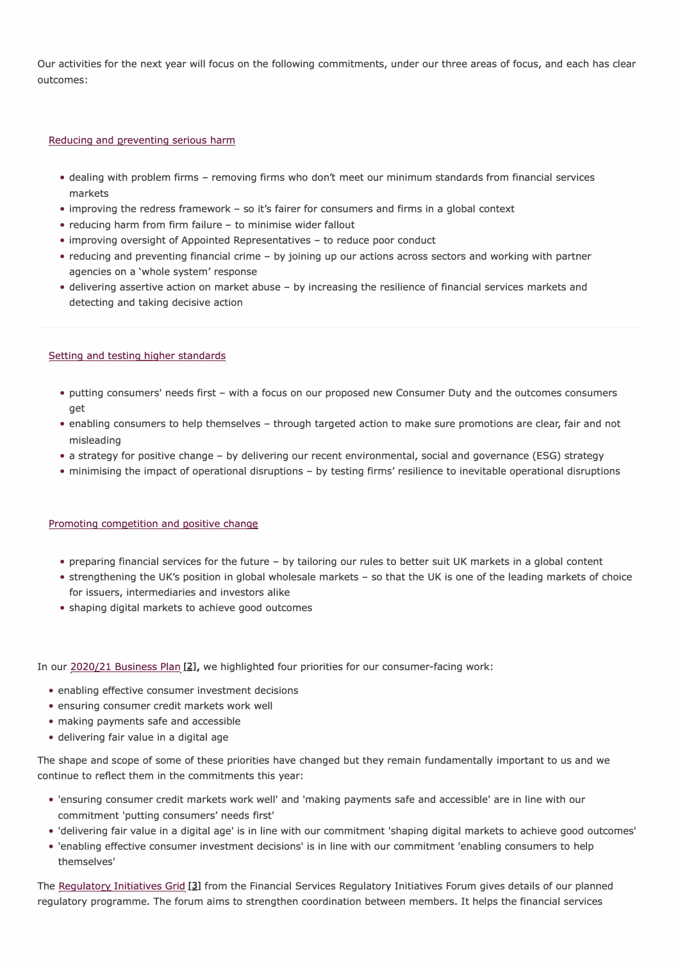Our activities for the next year will focus on the following commitments, under our three areas of focus, and each has clear outcomes:

#### Reducing and preventing serious harm

- dealing with problem firms removing firms who don't meet our minimum standards from financial services markets
- improving the redress framework so it's fairer for consumers and firms in a global context
- reducing harm from firm failure to minimise wider fallout
- improving oversight of Appointed Representatives to reduce poor conduct
- reducing and preventing financial crime by joining up our actions across sectors and working with partner agencies on a 'whole system' response
- delivering assertive action on market abuse by increasing the resilience of financial services markets and detecting and taking decisive action

#### Setting and testing higher standards

- putting consumers' needs first with a focus on our proposed new Consumer Duty and the outcomes consumers get
- enabling consumers to help themselves through targeted action to make sure promotions are clear, fair and not misleading
- a strategy for positive change by delivering our recent environmental, social and governance (ESG) strategy
- minimising the impact of operational disruptions by testing firms' resilience to inevitable operational disruptions

#### Promoting competition and positive change

- preparing financial services for the future by tailoring our rules to better suit UK markets in a global content
- strengthening the UK's position in global wholesale markets so that the UK is one of the leading markets of choice for issuers, intermediaries and investors alike
- shaping digital markets to achieve good outcomes

In our 2020/21 Business Plan [2], we highlighted four priorities for our consumer-facing work:

- enabling effective consumer investment decisions
- ensuring consumer credit markets work well
- making payments safe and accessible
- delivering fair value in a digital age

The shape and scope of some of these priorities have changed but they remain fundamentally important to us and we continue to reflect them in the commitments this year:

- 'ensuring consumer credit markets work well' and 'making payments safe and accessible' are in line with our commitment 'putting consumers' needs first'
- 'delivering fair value in a digital age' is in line with our commitment 'shaping digital markets to achieve good outcomes'
- 'enabling effective consumer investment decisions' is in line with our commitment 'enabling consumers to help themselves'

The Regulatory Initiatives Grid [3] from the Financial Services Regulatory Initiatives Forum gives details of our planned regulatory programme. The forum aims to strengthen coordination between members. It helps the financial services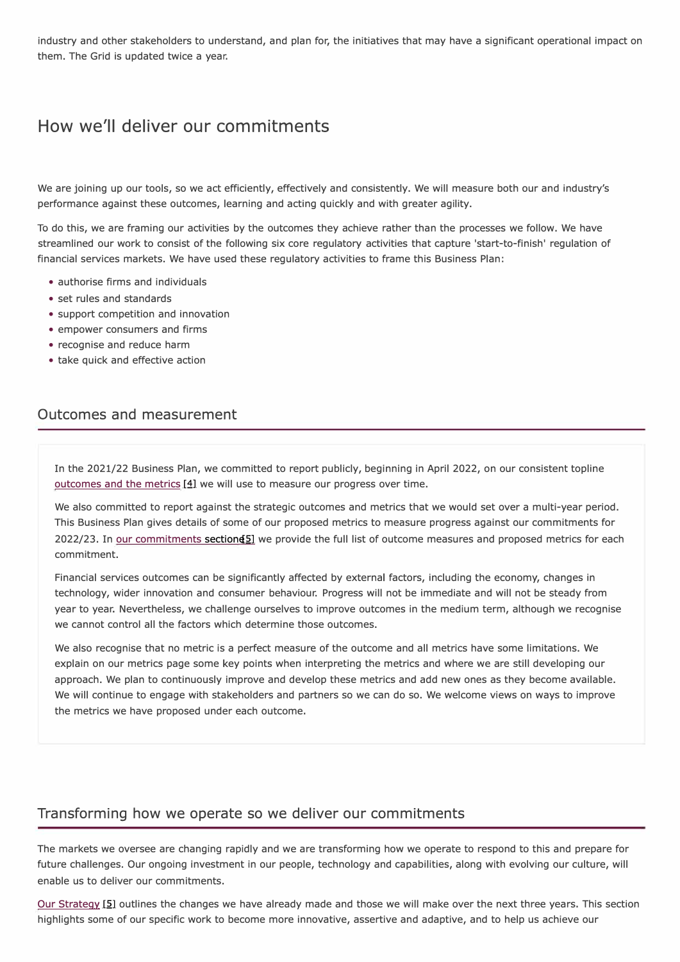industry and other stakeholders to understand, and plan for, the initiatives that may have a significant operational impact on them. The Grid is updated twice a year.

# **How we'll deliver our commitments**

We are joining up our tools, so we act efficiently, effectively and consistently. We will measure both our and industry's performance against these outcomes, learning and acting quickly and with greater agility.

To do this, we are framing our activities by the outcomes they achieve rather than the processes we follow. We have streamlined our work to consist of the following six core regulatory activities that capture 'start-to-finish' regulation of financial services markets. We have used these regulatory activities to frame this Business Plan:

- authorise firms and individuals
- set rules and standards
- support competition and innovation
- empower consumers and firms
- recognise and reduce harm
- take quick and effective action

### **Outcomes and measurement**

In the 2021/22 Business Plan, we committed to report publicly, beginning in April 2022, on our consistent topline outcomes and the metrics  $[4]$  we will use to measure our progress over time.

We also committed to report against the strategic outcomes and metrics that we would set over a multi-year period. This Business Plan gives details of some of our proposed metrics to measure progress against our commitments for 2022/23. In our commitments section **[5]** we provide the full list of outcome measures and proposed metrics for each commitment.

Financial services outcomes can be significantly affected by external factors, including the economy, changes in technology, wider innovation and consumer behaviour. Progress will not be immediate and will not be steady from year to year. Nevertheless, we challenge ourselves to improve outcomes in the medium term, although we recognise we cannot control all the factors which determine those outcomes.

We also recognise that no metric is a perfect measure of the outcome and all metrics have some limitations. We explain on our metrics page some key points when interpreting the metrics and where we are still developing our approach. We plan to continuously improve and develop these metrics and add new ones as they become available. We will continue to engage with stakeholders and partners so we can do so. We welcome views on ways to improve the metrics we have proposed under each outcome.

### **Transforming how we operate so we deliver our commitments**

The markets we oversee are changing rapidly and we are transforming how we operate to respond to this and prepare for future challenges. Our ongoing investment in our people, technology and capabilities, along with evolving our culture, will enable us to deliver our commitments.

Our Strategy [5] outlines the changes we have already made and those we will make over the next three years. This section highlights some of our specific work to become more innovative, assertive and adaptive, and to help us achieve our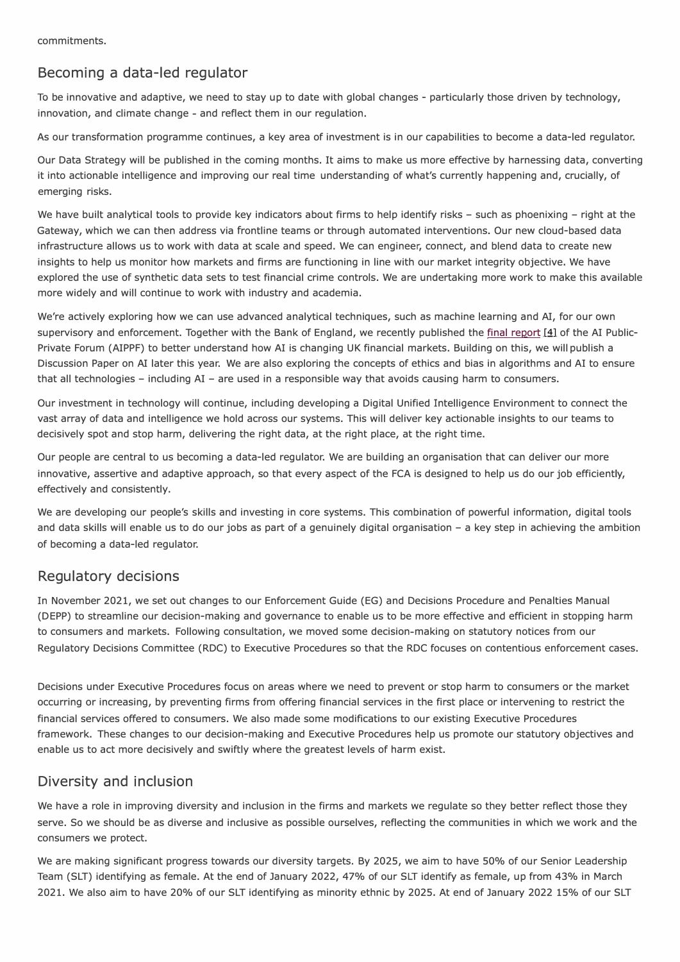### **Becoming a data-led regulator**

To be innovative and adaptive, we need to stay up to date with global changes - particularly those driven by technology, innovation, and climate change - and reflect them in our regulation.

As our transformation programme continues, a key area of investment is in our capabilities to become a data-led regulator.

Our Data Strategy will be published in the coming months. It aims to make us more effective by harnessing data, converting it into actionable intelligence and improving our real time understanding of what's currently happening and, crucially, of emerging risks.

We have built analytical tools to provide key indicators about firms to help identify risks - such as phoenixing - right at the Gateway, which we can then address via frontline teams or through automated interventions. Our new cloud-based data infrastructure allows us to work with data at scale and speed. We can engineer, connect, and blend data to create new insights to help us monitor how markets and firms are functioning in line with our market integrity objective. We have explored the use of synthetic data sets to test financial crime controls. We are undertaking more work to make this available more widely and will continue to work with industry and academia.

We're actively exploring how we can use advanced analytical techniques, such as machine learning and AI, for our own supervisory and enforcement. Together with the Bank of England, we recently published the final report [4] of the AI Public-Private Forum (AIPPF) to better understand how AI is changing UK financial markets. Building on this, we will publish a Discussion Paper on AI later this year. We are also exploring the concepts of ethics and bias in algorithms and AI to ensure that all technologies - including AI - are used in a responsible way that avoids causing harm to consumers.

Our investment in technology will continue, including developing a Digital Unified Intelligence Environment to connect the vast array of data and intelligence we hold across our systems. This will deliver key actionable insights to our teams to decisively spot and stop harm, delivering the right data, at the right place, at the right time.

Our people are central to us becoming a data-led regulator. We are building an organisation that can deliver our more innovative, assertive and adaptive approach, so that every aspect of the FCA is designed to help us do our job efficiently, effectively and consistently.

We are developing our people's skills and investing in core systems. This combination of powerful information, digital tools and data skills will enable us to do our jobs as part of a genuinely digital organisation - a key step in achieving the ambition of becoming a data-led regulator.

### **Regulatory decisions**

In November 2021, we set out changes to our Enforcement Guide (EG) and Decisions Procedure and Penalties Manual (DEPP) to streamline our decision-making and governance to enable us to be more effective and efficient in stopping harm to consumers and markets. Following consultation, we moved some decision-making on statutory notices from our Regulatory Decisions Committee (RDC) to Executive Procedures so that the RDC focuses on contentious enforcement cases.

Decisions under Executive Procedures focus on areas where we need to prevent or stop harm to consumers or the market occurring or increasing, by preventing firms from offering financial services in the first place or intervening to restrict the financial services offered to consumers. We also made some modifications to our existing Executive Procedures framework. These changes to our decision-making and Executive Procedures help us promote our statutory objectives and enable us to act more decisively and swiftly where the greatest levels of harm exist.

### **Diversity and inclusion**

We have a role in improving diversity and inclusion in the firms and markets we regulate so they better reflect those they serve. So we should be as diverse and inclusive as possible ourselves, reflecting the communities in which we work and the consumers we protect.

We are making significant progress towards our diversity targets. By 2025, we aim to have 50% of our Senior Leadership Team (SLT) identifying as female. At the end of January 2022, 47% of our SLT identify as female, up from 43% in March 2021. We also aim to have 20% of our SLT identifying as minority ethnic by 2025. At end of January 2022 15% of our SLT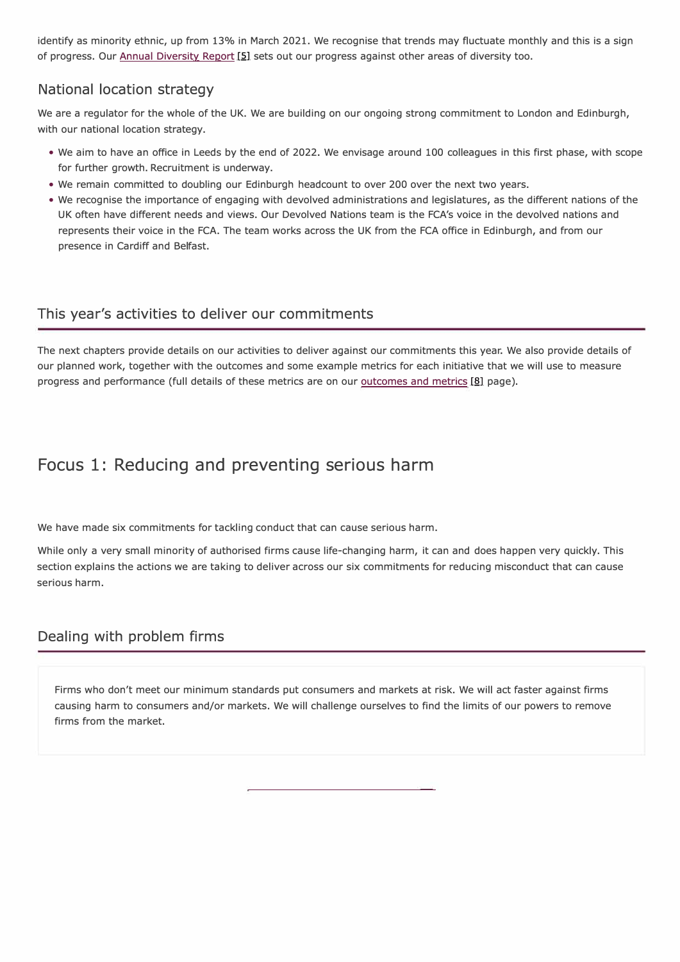identify as minority ethnic, up from 13% in March 2021. We recognise that trends may fluctuate monthly and this is a sign of progress. Our Annual Diversity Report [5] sets out our progress against other areas of diversity too.

### **National location strategy**

We are a regulator for the whole of the UK. We are building on our ongoing strong commitment to London and Edinburgh, with our national location strategy.

- We aim to have an office in Leeds by the end of 2022. We envisage around 100 colleagues in this first phase, with scope for further growth. Recruitment is underway.
- We remain committed to doubling our Edinburgh headcount to over 200 over the next two years.
- We recognise the importance of engaging with devolved administrations and legislatures, as the different nations of the UK often have different needs and views. Our Devolved Nations team is the FCA's voice in the devolved nations and represents their voice in the FCA. The team works across the UK from the FCA office in Edinburgh, and from our presence in Cardiff and Belfast.

### **This year's activities to deliver our commitments**

The next chapters provide details on our activities to deliver against our commitments this year. We also provide details of our planned work, together with the outcomes and some example metrics for each initiative that we will use to measure progress and performance (full details of these metrics are on our outcomes and metrics [8] page).

# **Focus 1: Reducing and preventing serious harm**

We have made six commitments for tackling conduct that can cause serious harm.

While only a very small minority of authorised firms cause life-changing harm, it can and does happen very quickly. This section explains the actions we are taking to deliver across our six commitments for reducing misconduct that can cause serious harm.

### **Dealing with problem firms**

Firms who don't meet our minimum standards put consumers and markets at risk. We will act faster against firms causing harm to consumers and/or markets. We will challenge ourselves to find the limits of our powers to remove firms from the market.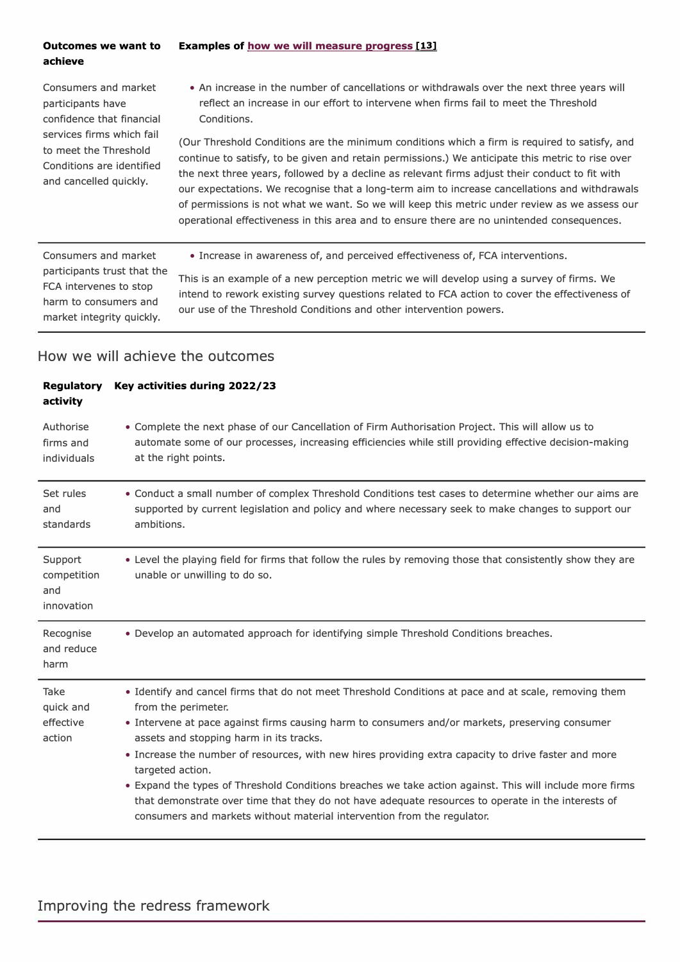#### **Examples of how we will measure progress [13] Outcomes we want to achieve**

Consumers and market participants have confidence that financial services firms which fail to meet the Threshold Conditions are identified and cancelled quickly.

• An increase in the number of cancellations or withdrawals over the next three years will reflect an increase in our effort to intervene when firms fail to meet the Threshold Conditions.

(Our Threshold Conditions are the minimum conditions which a firm is required to satisfy, and continue to satisfy, to be given and retain permissions.) We anticipate this metric to rise over the next three years, followed by a decline as relevant firms adjust their conduct to fit with our expectations. We recognise that a long-term aim to increase cancellations and withdrawals of permissions is not what we want. So we will keep this metric under review as we assess our operational effectiveness in this area and to ensure there are no unintended consequences.

• Increase in awareness of, and perceived effectiveness of, FCA interventions.

Consumers and market participants trust that the FCA intervenes to stop harm to consumers and market integrity quickly.

This is an example of a new perception metric we will develop using a survey of firms. We intend to rework existing survey questions related to FCA action to cover the effectiveness of our use of the Threshold Conditions and other intervention powers.

| <b>Regulatory</b><br>activity               | Key activities during 2022/23                                                                                                                                                                                                                                                                                                                                                                                                                                                                                                                                                                                                                                                                       |
|---------------------------------------------|-----------------------------------------------------------------------------------------------------------------------------------------------------------------------------------------------------------------------------------------------------------------------------------------------------------------------------------------------------------------------------------------------------------------------------------------------------------------------------------------------------------------------------------------------------------------------------------------------------------------------------------------------------------------------------------------------------|
| Authorise<br>firms and<br>individuals       | • Complete the next phase of our Cancellation of Firm Authorisation Project. This will allow us to<br>automate some of our processes, increasing efficiencies while still providing effective decision-making<br>at the right points.                                                                                                                                                                                                                                                                                                                                                                                                                                                               |
| Set rules<br>and<br>standards               | . Conduct a small number of complex Threshold Conditions test cases to determine whether our aims are<br>supported by current legislation and policy and where necessary seek to make changes to support our<br>ambitions.                                                                                                                                                                                                                                                                                                                                                                                                                                                                          |
| Support<br>competition<br>and<br>innovation | . Level the playing field for firms that follow the rules by removing those that consistently show they are<br>unable or unwilling to do so.                                                                                                                                                                                                                                                                                                                                                                                                                                                                                                                                                        |
| Recognise<br>and reduce<br>harm             | . Develop an automated approach for identifying simple Threshold Conditions breaches.                                                                                                                                                                                                                                                                                                                                                                                                                                                                                                                                                                                                               |
| Take<br>quick and<br>effective<br>action    | . Identify and cancel firms that do not meet Threshold Conditions at pace and at scale, removing them<br>from the perimeter.<br>• Intervene at pace against firms causing harm to consumers and/or markets, preserving consumer<br>assets and stopping harm in its tracks.<br>. Increase the number of resources, with new hires providing extra capacity to drive faster and more<br>targeted action.<br>. Expand the types of Threshold Conditions breaches we take action against. This will include more firms<br>that demonstrate over time that they do not have adequate resources to operate in the interests of<br>consumers and markets without material intervention from the regulator. |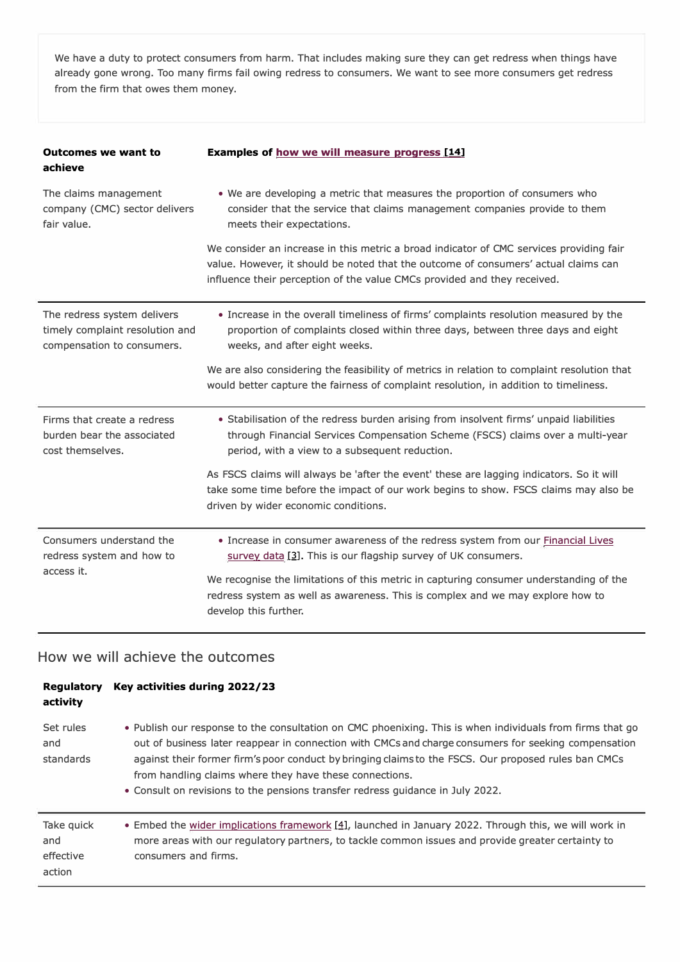We have a duty to protect consumers from harm. That includes making sure they can get redress when things have already gone wrong. Too many firms fail owing redress to consumers. We want to see more consumers get redress from the firm that owes them money.

| <b>Outcomes we want to</b><br>achieve                                                        | Examples of how we will measure progress [14]                                                                                                                                                                                                              |
|----------------------------------------------------------------------------------------------|------------------------------------------------------------------------------------------------------------------------------------------------------------------------------------------------------------------------------------------------------------|
| The claims management<br>company (CMC) sector delivers<br>fair value.                        | . We are developing a metric that measures the proportion of consumers who<br>consider that the service that claims management companies provide to them<br>meets their expectations.                                                                      |
|                                                                                              | We consider an increase in this metric a broad indicator of CMC services providing fair<br>value. However, it should be noted that the outcome of consumers' actual claims can<br>influence their perception of the value CMCs provided and they received. |
| The redress system delivers<br>timely complaint resolution and<br>compensation to consumers. | • Increase in the overall timeliness of firms' complaints resolution measured by the<br>proportion of complaints closed within three days, between three days and eight<br>weeks, and after eight weeks.                                                   |
|                                                                                              | We are also considering the feasibility of metrics in relation to complaint resolution that<br>would better capture the fairness of complaint resolution, in addition to timeliness.                                                                       |
| Firms that create a redress<br>burden bear the associated<br>cost themselves.                | • Stabilisation of the redress burden arising from insolvent firms' unpaid liabilities<br>through Financial Services Compensation Scheme (FSCS) claims over a multi-year<br>period, with a view to a subsequent reduction.                                 |
|                                                                                              | As FSCS claims will always be 'after the event' these are lagging indicators. So it will<br>take some time before the impact of our work begins to show. FSCS claims may also be<br>driven by wider economic conditions.                                   |
| Consumers understand the<br>redress system and how to                                        | . Increase in consumer awareness of the redress system from our Financial Lives<br>survey data [3]. This is our flagship survey of UK consumers.                                                                                                           |
| access it.                                                                                   | We recognise the limitations of this metric in capturing consumer understanding of the<br>redress system as well as awareness. This is complex and we may explore how to<br>develop this further.                                                          |

| <b>Regulatory</b><br>activity            | Key activities during 2022/23                                                                                                                                                                                                                                                                                                                                                                                                                                          |
|------------------------------------------|------------------------------------------------------------------------------------------------------------------------------------------------------------------------------------------------------------------------------------------------------------------------------------------------------------------------------------------------------------------------------------------------------------------------------------------------------------------------|
| Set rules<br>and<br>standards            | • Publish our response to the consultation on CMC phoenixing. This is when individuals from firms that go<br>out of business later reappear in connection with CMCs and charge consumers for seeking compensation<br>against their former firm's poor conduct by bringing claims to the FSCS. Our proposed rules ban CMCs<br>from handling claims where they have these connections.<br>• Consult on revisions to the pensions transfer redress quidance in July 2022. |
| Take quick<br>and<br>effective<br>action | • Embed the wider implications framework $[4]$ , launched in January 2022. Through this, we will work in<br>more areas with our regulatory partners, to tackle common issues and provide greater certainty to<br>consumers and firms.                                                                                                                                                                                                                                  |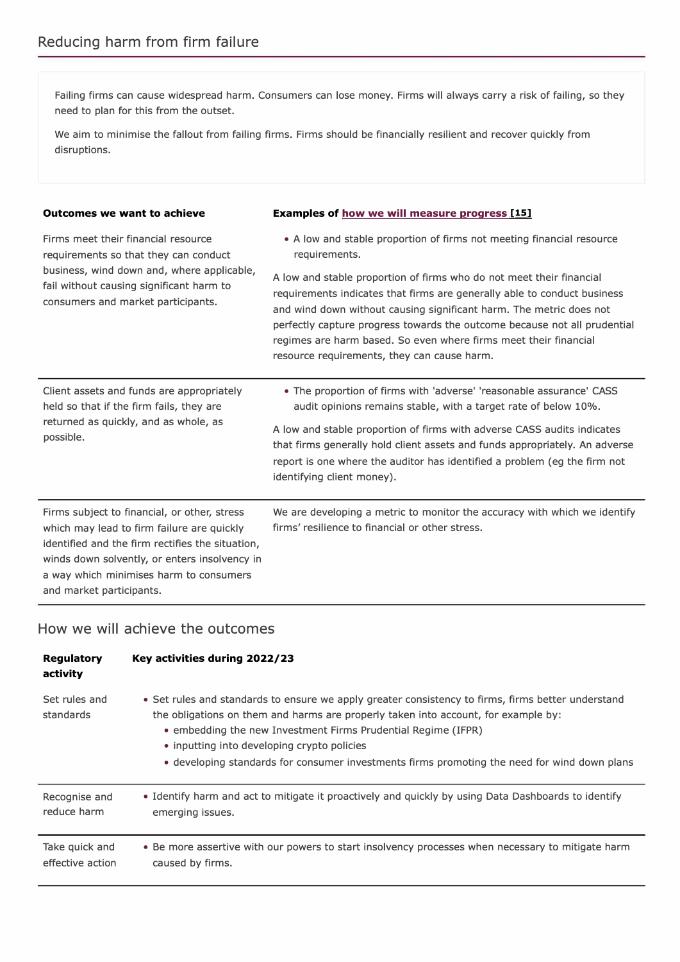Failing firms can cause widespread harm. Consumers can lose money. Firms will always carry a risk of failing, so they need to plan for this from the outset.

We aim to minimise the fallout from failing firms. Firms should be financially resilient and recover quickly from disruptions.

| <b>Outcomes we want to achieve</b>                                                                                                                                                                                                                                     | Examples of how we will measure progress [15]                                                                                                                                                                                                                                                                                                                                                                                                                                                                     |  |
|------------------------------------------------------------------------------------------------------------------------------------------------------------------------------------------------------------------------------------------------------------------------|-------------------------------------------------------------------------------------------------------------------------------------------------------------------------------------------------------------------------------------------------------------------------------------------------------------------------------------------------------------------------------------------------------------------------------------------------------------------------------------------------------------------|--|
| Firms meet their financial resource<br>requirements so that they can conduct<br>business, wind down and, where applicable,<br>fail without causing significant harm to<br>consumers and market participants.                                                           | • A low and stable proportion of firms not meeting financial resource<br>requirements.<br>A low and stable proportion of firms who do not meet their financial<br>requirements indicates that firms are generally able to conduct business<br>and wind down without causing significant harm. The metric does not<br>perfectly capture progress towards the outcome because not all prudential<br>regimes are harm based. So even where firms meet their financial<br>resource requirements, they can cause harm. |  |
| Client assets and funds are appropriately<br>held so that if the firm fails, they are<br>returned as quickly, and as whole, as<br>possible.                                                                                                                            | • The proportion of firms with 'adverse' 'reasonable assurance' CASS<br>audit opinions remains stable, with a target rate of below 10%.<br>A low and stable proportion of firms with adverse CASS audits indicates<br>that firms generally hold client assets and funds appropriately. An adverse<br>report is one where the auditor has identified a problem (eg the firm not<br>identifying client money).                                                                                                      |  |
| Firms subject to financial, or other, stress<br>which may lead to firm failure are quickly<br>identified and the firm rectifies the situation,<br>winds down solvently, or enters insolvency in<br>a way which minimises harm to consumers<br>and market participants. | We are developing a metric to monitor the accuracy with which we identify<br>firms' resilience to financial or other stress.                                                                                                                                                                                                                                                                                                                                                                                      |  |

| <b>Regulatory</b><br>activity | Key activities during 2022/23                                                                                                                                                                                                                                                                                                                                                                            |
|-------------------------------|----------------------------------------------------------------------------------------------------------------------------------------------------------------------------------------------------------------------------------------------------------------------------------------------------------------------------------------------------------------------------------------------------------|
| Set rules and<br>standards    | • Set rules and standards to ensure we apply greater consistency to firms, firms better understand<br>the obligations on them and harms are properly taken into account, for example by:<br>• embedding the new Investment Firms Prudential Regime (IFPR)<br>• inputting into developing crypto policies<br>• developing standards for consumer investments firms promoting the need for wind down plans |
| Recognise and                 | • Identify harm and act to mitigate it proactively and quickly by using Data Dashboards to identify                                                                                                                                                                                                                                                                                                      |
| reduce harm                   | emerging issues.                                                                                                                                                                                                                                                                                                                                                                                         |
| Take quick and                | • Be more assertive with our powers to start insolvency processes when necessary to mitigate harm                                                                                                                                                                                                                                                                                                        |
| effective action              | caused by firms.                                                                                                                                                                                                                                                                                                                                                                                         |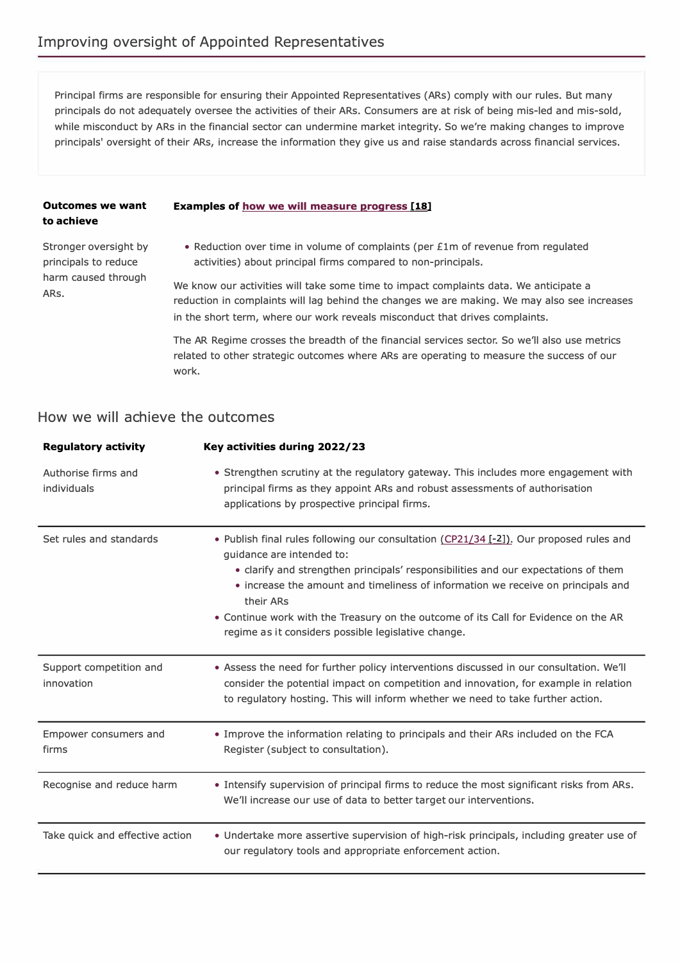Principal firms are responsible for ensuring their Appointed Representatives (ARs) comply with our rules. But many principals do not adequately oversee the activities of their ARs. Consumers are at risk of being mis-led and mis-sold, while misconduct by ARs in the financial sector can undermine market integrity. So we're making changes to improve principals' oversight of their ARs, increase the information they give us and raise standards across financial services.

#### **Outcomes we want Examples of how we will measure progress [18] to achieve**

harm caused through ARs.

Stronger oversight by • Reduction over time in volume of complaints (per £1m of revenue from regulated principals to reduce activities) about principal firms compared to non-principals.

> We know our activities will take some time to impact complaints data. We anticipate a reduction in complaints will lag behind the changes we are making. We may also see increases in the short term, where our work reveals misconduct that drives complaints.

The AR Regime crosses the breadth of the financial services sector. So we'll also use metrics related to other strategic outcomes where ARs are operating to measure the success of our work.

| <b>Regulatory activity</b>            | Key activities during 2022/23                                                                                                                                                                                                                                                                                                                                                                                                                             |
|---------------------------------------|-----------------------------------------------------------------------------------------------------------------------------------------------------------------------------------------------------------------------------------------------------------------------------------------------------------------------------------------------------------------------------------------------------------------------------------------------------------|
| Authorise firms and<br>individuals    | • Strengthen scrutiny at the regulatory gateway. This includes more engagement with<br>principal firms as they appoint ARs and robust assessments of authorisation<br>applications by prospective principal firms.                                                                                                                                                                                                                                        |
| Set rules and standards               | • Publish final rules following our consultation (CP21/34 [-2]). Our proposed rules and<br>guidance are intended to:<br>• clarify and strengthen principals' responsibilities and our expectations of them<br>• increase the amount and timeliness of information we receive on principals and<br>their ARs<br>. Continue work with the Treasury on the outcome of its Call for Evidence on the AR<br>regime as it considers possible legislative change. |
| Support competition and<br>innovation | • Assess the need for further policy interventions discussed in our consultation. We'll<br>consider the potential impact on competition and innovation, for example in relation<br>to regulatory hosting. This will inform whether we need to take further action.                                                                                                                                                                                        |
| Empower consumers and<br>firms        | • Improve the information relating to principals and their ARs included on the FCA<br>Register (subject to consultation).                                                                                                                                                                                                                                                                                                                                 |
| Recognise and reduce harm             | • Intensify supervision of principal firms to reduce the most significant risks from ARs.<br>We'll increase our use of data to better target our interventions.                                                                                                                                                                                                                                                                                           |
| Take quick and effective action       | • Undertake more assertive supervision of high-risk principals, including greater use of<br>our regulatory tools and appropriate enforcement action.                                                                                                                                                                                                                                                                                                      |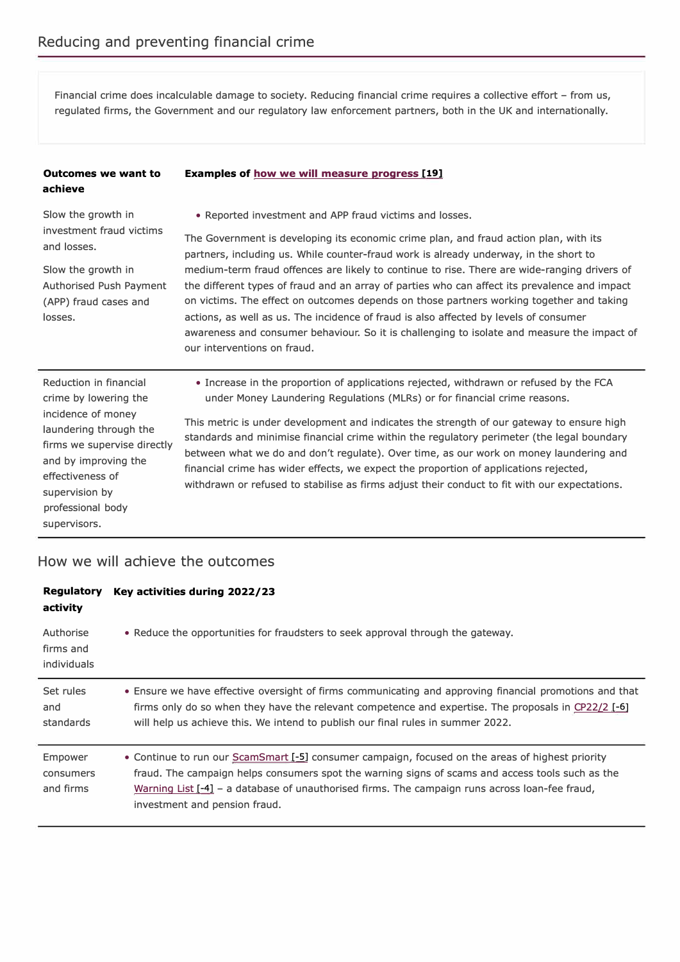Financial crime does incalculable damage to society. Reducing financial crime requires a collective effort - from us, regulated firms, the Government and our regulatory law enforcement partners, both in the UK and internationally.

#### **Examples of how we will measure progress [19] Outcomes we want to**

Slow the growth in investment fraud victims and losses.

**achieve**

Slow the growth in Authorised Push Payment (APP) fraud cases and losses.

• Reported investment and APP fraud victims and losses.

The Government is developing its economic crime plan, and fraud action plan, with its partners, including us. While counter-fraud work is already underway, in the short to medium-term fraud offences are likely to continue to rise. There are wide-ranging drivers of the different types of fraud and an array of parties who can affect its prevalence and impact on victims. The effect on outcomes depends on those partners working together and taking actions, as well as us. The incidence of fraud is also affected by levels of consumer awareness and consumer behaviour. So it is challenging to isolate and measure the impact of our interventions on fraud.

Reduction in financial crime by lowering the incidence of money laundering through the firms we supervise directly and by improving the effectiveness of supervision by professional body supervisors.

• Increase in the proportion of applications rejected, withdrawn or refused by the FCA under Money Laundering Regulations (MLRs) or for financial crime reasons.

This metric is under development and indicates the strength of our gateway to ensure high standards and minimise financial crime within the regulatory perimeter (the legal boundary between what we do and don't regulate). Over time, as our work on money laundering and financial crime has wider effects, we expect the proportion of applications rejected, withdrawn or refused to stabilise as firms adjust their conduct to fit with our expectations.

| Regulatory<br>activity                       | Key activities during 2022/23                                                                                                                                                                                                                                                                                                           |
|----------------------------------------------|-----------------------------------------------------------------------------------------------------------------------------------------------------------------------------------------------------------------------------------------------------------------------------------------------------------------------------------------|
| Authorise<br>firms and<br><i>individuals</i> | • Reduce the opportunities for fraudsters to seek approval through the gateway.                                                                                                                                                                                                                                                         |
| Set rules<br>and<br>standards                | • Ensure we have effective oversight of firms communicating and approving financial promotions and that<br>firms only do so when they have the relevant competence and expertise. The proposals in CP22/2 [-6]<br>will help us achieve this. We intend to publish our final rules in summer 2022.                                       |
| Empower<br>consumers<br>and firms            | • Continue to run our ScamSmart [-5] consumer campaign, focused on the areas of highest priority<br>fraud. The campaign helps consumers spot the warning signs of scams and access tools such as the<br>Warning List [-4] - a database of unauthorised firms. The campaign runs across loan-fee fraud,<br>investment and pension fraud. |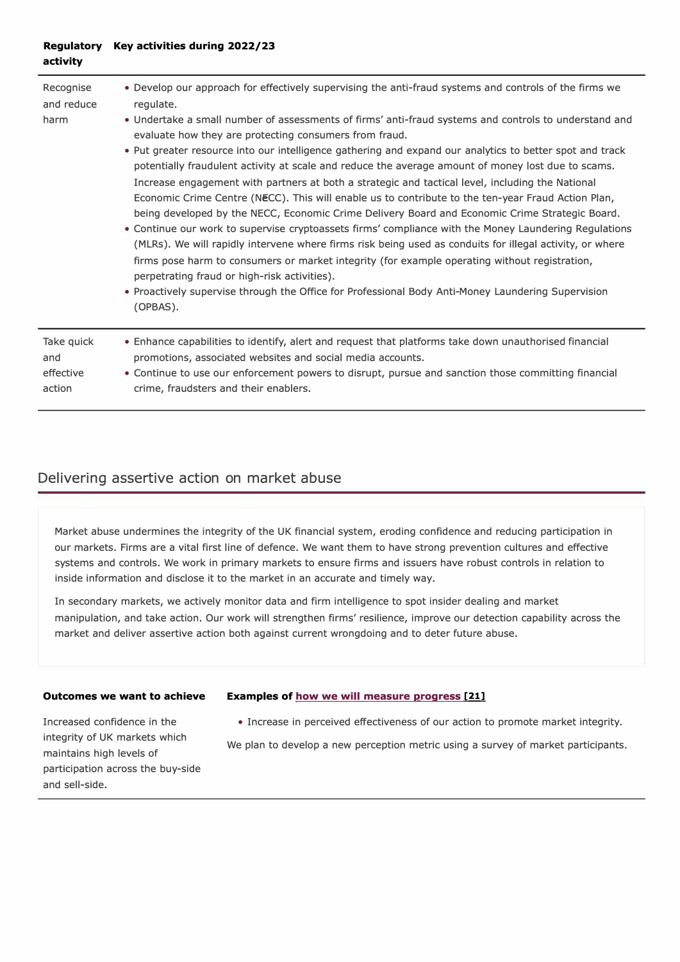#### **Regulatory Key activities during 2022/23 activity**

| Recognise<br>and reduce<br>harm | . Develop our approach for effectively supervising the anti-fraud systems and controls of the firms we<br>regulate.<br>. Undertake a small number of assessments of firms' anti-fraud systems and controls to understand and<br>evaluate how they are protecting consumers from fraud.<br>• Put greater resource into our intelligence gathering and expand our analytics to better spot and track<br>potentially fraudulent activity at scale and reduce the average amount of money lost due to scams.<br>Increase engagement with partners at both a strategic and tactical level, including the National<br>Economic Crime Centre (NECC). This will enable us to contribute to the ten-year Fraud Action Plan,<br>being developed by the NECC, Economic Crime Delivery Board and Economic Crime Strategic Board.<br>• Continue our work to supervise cryptoassets firms' compliance with the Money Laundering Regulations<br>(MLRs). We will rapidly intervene where firms risk being used as conduits for illegal activity, or where<br>firms pose harm to consumers or market integrity (for example operating without registration,<br>perpetrating fraud or high-risk activities).<br>• Proactively supervise through the Office for Professional Body Anti-Money Laundering Supervision<br>(OPBAS). |
|---------------------------------|--------------------------------------------------------------------------------------------------------------------------------------------------------------------------------------------------------------------------------------------------------------------------------------------------------------------------------------------------------------------------------------------------------------------------------------------------------------------------------------------------------------------------------------------------------------------------------------------------------------------------------------------------------------------------------------------------------------------------------------------------------------------------------------------------------------------------------------------------------------------------------------------------------------------------------------------------------------------------------------------------------------------------------------------------------------------------------------------------------------------------------------------------------------------------------------------------------------------------------------------------------------------------------------------------------------|
| Take quick                      | • Enhance capabilities to identify, alert and request that platforms take down unauthorised financial                                                                                                                                                                                                                                                                                                                                                                                                                                                                                                                                                                                                                                                                                                                                                                                                                                                                                                                                                                                                                                                                                                                                                                                                        |
| and                             | promotions, associated websites and social media accounts.                                                                                                                                                                                                                                                                                                                                                                                                                                                                                                                                                                                                                                                                                                                                                                                                                                                                                                                                                                                                                                                                                                                                                                                                                                                   |
| effective                       | • Continue to use our enforcement powers to disrupt, pursue and sanction those committing financial                                                                                                                                                                                                                                                                                                                                                                                                                                                                                                                                                                                                                                                                                                                                                                                                                                                                                                                                                                                                                                                                                                                                                                                                          |
| action                          | crime, fraudsters and their enablers.                                                                                                                                                                                                                                                                                                                                                                                                                                                                                                                                                                                                                                                                                                                                                                                                                                                                                                                                                                                                                                                                                                                                                                                                                                                                        |

### **Delivering assertive action on market abuse**

Market abuse undermines the integrity of the UK financial system, eroding confidence and reducing participation in our markets. Firms are a vital first line of defence. We want them to have strong prevention cultures and effective systems and controls. We work in primary markets to ensure firms and issuers have robust controls in relation to inside information and disclose it to the market in an accurate and timely way.

In secondary markets, we actively monitor data and firm intelligence to spot insider dealing and market manipulation, and take action. Our work will strengthen firms' resilience, improve our detection capability across the market and deliver assertive action both against current wrongdoing and to deter future abuse.

#### **Outcomes we want to achieve**

#### **Examples of how we will measure progress [21]**

• Increase in perceived effectiveness of our action to promote market integrity.

Increased confidence in the integrity of UK markets which maintains high levels of participation across the buy-side and sell-side.

We plan to develop a new perception metric using a survey of market participants.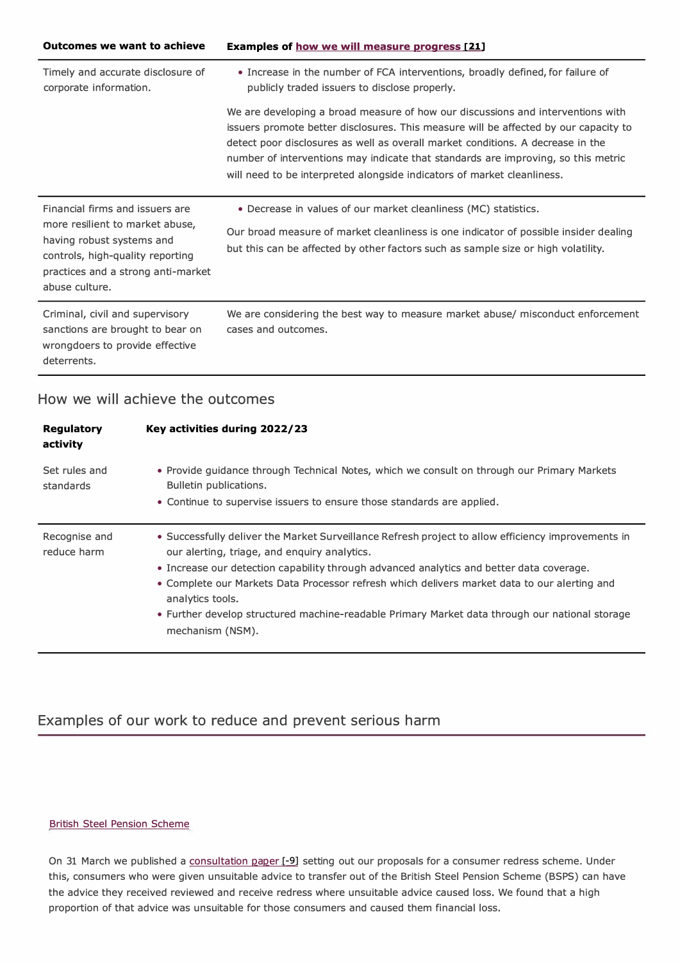| <b>Outcomes we want to achieve</b>                                                                                                                                                          | Examples of how we will measure progress [21]                                                                                                                                                                                                                                                                                                                                                                              |
|---------------------------------------------------------------------------------------------------------------------------------------------------------------------------------------------|----------------------------------------------------------------------------------------------------------------------------------------------------------------------------------------------------------------------------------------------------------------------------------------------------------------------------------------------------------------------------------------------------------------------------|
| Timely and accurate disclosure of<br>corporate information.                                                                                                                                 | • Increase in the number of FCA interventions, broadly defined, for failure of<br>publicly traded issuers to disclose properly.                                                                                                                                                                                                                                                                                            |
|                                                                                                                                                                                             | We are developing a broad measure of how our discussions and interventions with<br>issuers promote better disclosures. This measure will be affected by our capacity to<br>detect poor disclosures as well as overall market conditions. A decrease in the<br>number of interventions may indicate that standards are improving, so this metric<br>will need to be interpreted alongside indicators of market cleanliness. |
| Financial firms and issuers are<br>more resilient to market abuse,<br>having robust systems and<br>controls, high-quality reporting<br>practices and a strong anti-market<br>abuse culture. | • Decrease in values of our market cleanliness (MC) statistics.<br>Our broad measure of market cleanliness is one indicator of possible insider dealing<br>but this can be affected by other factors such as sample size or high volatility.                                                                                                                                                                               |
| Criminal, civil and supervisory<br>sanctions are brought to bear on<br>wrongdoers to provide effective<br>deterrents.                                                                       | We are considering the best way to measure market abuse/ misconduct enforcement<br>cases and outcomes.                                                                                                                                                                                                                                                                                                                     |

### **How we will achieve the outcomes**

| <b>Regulatory</b><br>activity | Key activities during 2022/23                                                                                                                                                                                                                                                                                                                                                                                                                                                            |
|-------------------------------|------------------------------------------------------------------------------------------------------------------------------------------------------------------------------------------------------------------------------------------------------------------------------------------------------------------------------------------------------------------------------------------------------------------------------------------------------------------------------------------|
| Set rules and<br>standards    | • Provide guidance through Technical Notes, which we consult on through our Primary Markets<br>Bulletin publications.<br>• Continue to supervise issuers to ensure those standards are applied.                                                                                                                                                                                                                                                                                          |
| Recognise and<br>reduce harm  | • Successfully deliver the Market Surveillance Refresh project to allow efficiency improvements in<br>our alerting, triage, and enguiry analytics.<br>. Increase our detection capability through advanced analytics and better data coverage.<br>• Complete our Markets Data Processor refresh which delivers market data to our alerting and<br>analytics tools.<br>• Further develop structured machine-readable Primary Market data through our national storage<br>mechanism (NSM). |

# **Examples of our work to reduce and prevent serious harm**

#### British Steel Pension Scheme

On 31 March we published a consultation paper [-9] setting out our proposals for a consumer redress scheme. Under this, consumers who were given unsuitable advice to transfer out of the British Steel Pension Scheme (BSPS) can have the advice they received reviewed and receive redress where unsuitable advice caused loss. We found that a high proportion of that advice was unsuitable for those consumers and caused them financial loss.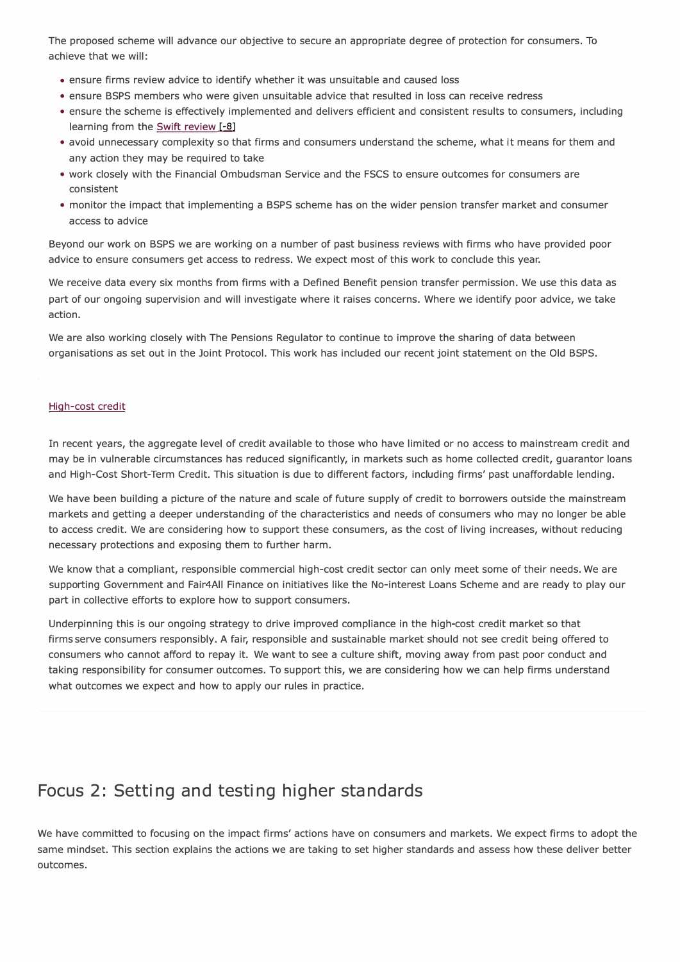The proposed scheme will advance our objective to secure an appropriate degree of protection for consumers. To achieve that we will:

- ensure firms review advice to identify whether it was unsuitable and caused loss
- ensure BSPS members who were given unsuitable advice that resulted in loss can receive redress
- ensure the scheme is effectively implemented and delivers efficient and consistent results to consumers, including learning from the Swift review [-8]
- avoid unnecessary complexity so that firms and consumers understand the scheme, what it means for them and any action they may be required to take
- work closely with the Financial Ombudsman Service and the FSCS to ensure outcomes for consumers are consistent
- monitor the impact that implementing a BSPS scheme has on the wider pension transfer market and consumer access to advice

Beyond our work on BSPS we are working on a number of past business reviews with firms who have provided poor advice to ensure consumers get access to redress. We expect most of this work to conclude this year.

We receive data every six months from firms with a Defined Benefit pension transfer permission. We use this data as part of our ongoing supervision and will investigate where it raises concerns. Where we identify poor advice, we take action.

We are also working closely with The Pensions Regulator to continue to improve the sharing of data between organisations as set out in the Joint Protocol. This work has included our recent joint statement on the Old BSPS.

#### High-cost credit

In recent years, the aggregate level of credit available to those who have limited or no access to mainstream credit and may be in vulnerable circumstances has reduced significantly, in markets such as home collected credit, guarantor loans and High-Cost Short-Term Credit. This situation is due to different factors, including firms' past unaffordable lending.

We have been building a picture of the nature and scale of future supply of credit to borrowers outside the mainstream markets and getting a deeper understanding of the characteristics and needs of consumers who may no longer be able to access credit. We are considering how to support these consumers, as the cost of living increases, without reducing necessary protections and exposing them to further harm.

We know that a compliant, responsible commercial high-cost credit sector can only meet some of their needs. We are supporting Government and Fair4AII Finance on initiatives like the No-interest Loans Scheme and are ready to play our part in collective efforts to explore how to support consumers.

Underpinning this is our ongoing strategy to drive improved compliance in the high-cost credit market so that firms serve consumers responsibly. A fair, responsible and sustainable market should not see credit being offered to consumers who cannot afford to repay it. We want to see a culture shift, moving away from past poor conduct and taking responsibility for consumer outcomes. To support this, we are considering how we can help firms understand what outcomes we expect and how to apply our rules in practice.

# **Focus 2: Setting and testing higher standards**

We have committed to focusing on the impact firms' actions have on consumers and markets. We expect firms to adopt the same mindset. This section explains the actions we are taking to set higher standards and assess how these deliver better outcomes.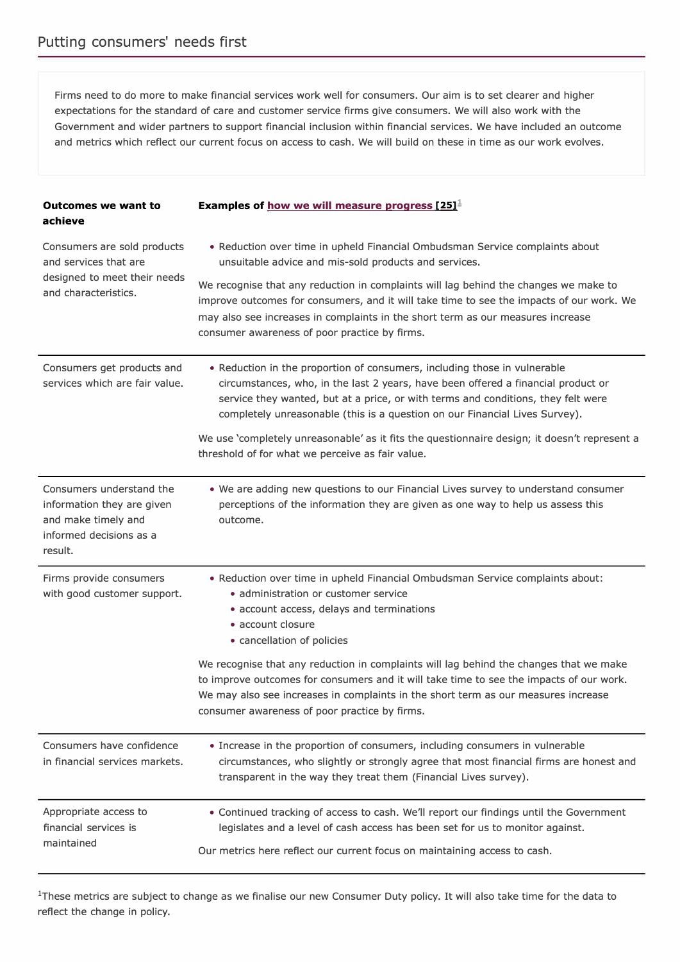Firms need to do more to make financial services work well for consumers. Our aim is to set clearer and higher expectations for the standard of care and customer service firms give consumers. We will also work with the Government and wider partners to support financial inclusion within financial services. We have included an outcome and metrics which reflect our current focus on access to cash. We will build on these in time as our work evolves.

| <b>Outcomes we want to</b><br>achieve                                                                               | Examples of how we will measure progress $[25]^{\perp}$                                                                                                                                                                                                                                                                            |
|---------------------------------------------------------------------------------------------------------------------|------------------------------------------------------------------------------------------------------------------------------------------------------------------------------------------------------------------------------------------------------------------------------------------------------------------------------------|
| Consumers are sold products<br>and services that are                                                                | • Reduction over time in upheld Financial Ombudsman Service complaints about<br>unsuitable advice and mis-sold products and services.                                                                                                                                                                                              |
| designed to meet their needs<br>and characteristics.                                                                | We recognise that any reduction in complaints will lag behind the changes we make to<br>improve outcomes for consumers, and it will take time to see the impacts of our work. We<br>may also see increases in complaints in the short term as our measures increase<br>consumer awareness of poor practice by firms.               |
| Consumers get products and<br>services which are fair value.                                                        | • Reduction in the proportion of consumers, including those in vulnerable<br>circumstances, who, in the last 2 years, have been offered a financial product or<br>service they wanted, but at a price, or with terms and conditions, they felt were<br>completely unreasonable (this is a question on our Financial Lives Survey). |
|                                                                                                                     | We use 'completely unreasonable' as it fits the questionnaire design; it doesn't represent a<br>threshold of for what we perceive as fair value.                                                                                                                                                                                   |
| Consumers understand the<br>information they are given<br>and make timely and<br>informed decisions as a<br>result. | . We are adding new questions to our Financial Lives survey to understand consumer<br>perceptions of the information they are given as one way to help us assess this<br>outcome.                                                                                                                                                  |
| Firms provide consumers<br>with good customer support.                                                              | . Reduction over time in upheld Financial Ombudsman Service complaints about:<br>• administration or customer service<br>· account access, delays and terminations<br>• account closure<br>• cancellation of policies                                                                                                              |
|                                                                                                                     | We recognise that any reduction in complaints will lag behind the changes that we make<br>to improve outcomes for consumers and it will take time to see the impacts of our work.<br>We may also see increases in complaints in the short term as our measures increase<br>consumer awareness of poor practice by firms.           |
| Consumers have confidence<br>in financial services markets.                                                         | • Increase in the proportion of consumers, including consumers in vulnerable<br>circumstances, who slightly or strongly agree that most financial firms are honest and<br>transparent in the way they treat them (Financial Lives survey).                                                                                         |
| Appropriate access to<br>financial services is<br>maintained                                                        | • Continued tracking of access to cash. We'll report our findings until the Government<br>legislates and a level of cash access has been set for us to monitor against.<br>Our metrics here reflect our current focus on maintaining access to cash.                                                                               |

<sup>1</sup>These metrics are subject to change as we finalise our new Consumer Duty policy. It will also take time for the data to reflect the change in policy.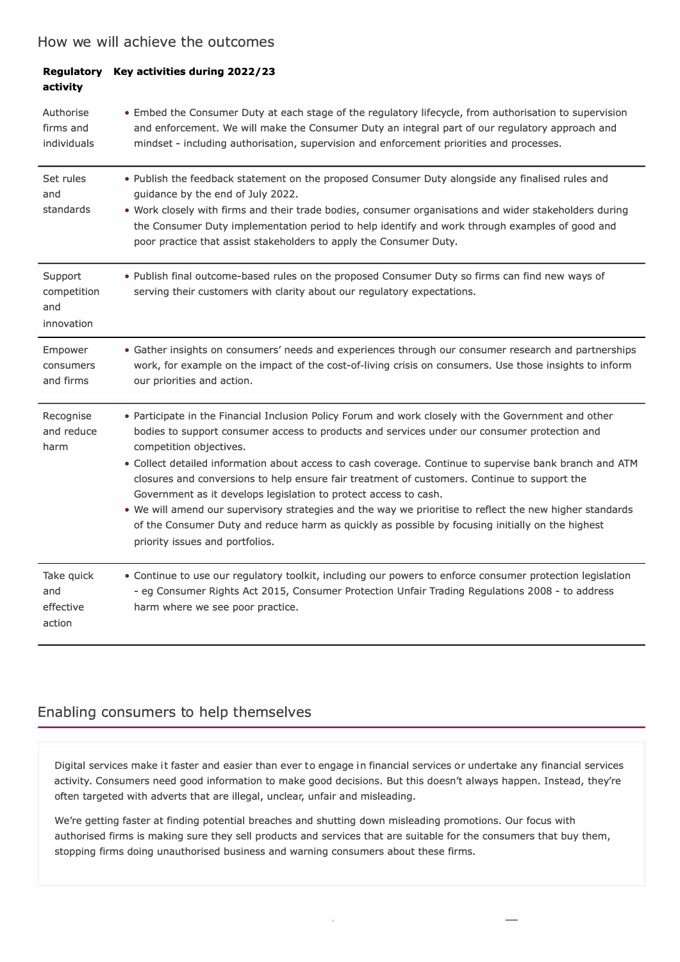### **How we will achieve the outcomes**

| activity                                    | Regulatory Key activities during 2022/23                                                                                                                                                                                                                                                                                                                                                                                                                                                                                                                                                                                                                                                                                                                          |
|---------------------------------------------|-------------------------------------------------------------------------------------------------------------------------------------------------------------------------------------------------------------------------------------------------------------------------------------------------------------------------------------------------------------------------------------------------------------------------------------------------------------------------------------------------------------------------------------------------------------------------------------------------------------------------------------------------------------------------------------------------------------------------------------------------------------------|
| Authorise<br>firms and<br>individuals       | • Embed the Consumer Duty at each stage of the regulatory lifecycle, from authorisation to supervision<br>and enforcement. We will make the Consumer Duty an integral part of our regulatory approach and<br>mindset - including authorisation, supervision and enforcement priorities and processes.                                                                                                                                                                                                                                                                                                                                                                                                                                                             |
| Set rules<br>and<br>standards               | . Publish the feedback statement on the proposed Consumer Duty alongside any finalised rules and<br>guidance by the end of July 2022.<br>. Work closely with firms and their trade bodies, consumer organisations and wider stakeholders during<br>the Consumer Duty implementation period to help identify and work through examples of good and<br>poor practice that assist stakeholders to apply the Consumer Duty.                                                                                                                                                                                                                                                                                                                                           |
| Support<br>competition<br>and<br>innovation | . Publish final outcome-based rules on the proposed Consumer Duty so firms can find new ways of<br>serving their customers with clarity about our regulatory expectations.                                                                                                                                                                                                                                                                                                                                                                                                                                                                                                                                                                                        |
| Empower<br>consumers<br>and firms           | • Gather insights on consumers' needs and experiences through our consumer research and partnerships<br>work, for example on the impact of the cost-of-living crisis on consumers. Use those insights to inform<br>our priorities and action.                                                                                                                                                                                                                                                                                                                                                                                                                                                                                                                     |
| Recognise<br>and reduce<br>harm             | . Participate in the Financial Inclusion Policy Forum and work closely with the Government and other<br>bodies to support consumer access to products and services under our consumer protection and<br>competition objectives.<br>· Collect detailed information about access to cash coverage. Continue to supervise bank branch and ATM<br>closures and conversions to help ensure fair treatment of customers. Continue to support the<br>Government as it develops legislation to protect access to cash.<br>. We will amend our supervisory strategies and the way we prioritise to reflect the new higher standards<br>of the Consumer Duty and reduce harm as quickly as possible by focusing initially on the highest<br>priority issues and portfolios. |
| Take quick<br>and<br>effective<br>action    | • Continue to use our regulatory toolkit, including our powers to enforce consumer protection legislation<br>- eg Consumer Rights Act 2015, Consumer Protection Unfair Trading Regulations 2008 - to address<br>harm where we see poor practice.                                                                                                                                                                                                                                                                                                                                                                                                                                                                                                                  |

### **Enabling consumers to help themselves**

Digital services make it faster and easier than ever to engage in financial services or undertake any financial services activity. Consumers need good information to make good decisions. But this doesn't always happen. Instead, they're often targeted with adverts that are illegal, unclear, unfair and misleading.

We're getting faster at finding potential breaches and shutting down misleading promotions. Our focus with authorised firms is making sure they sell products and services that are suitable for the consumers that buy them, stopping firms doing unauthorised business and warning consumers about these firms.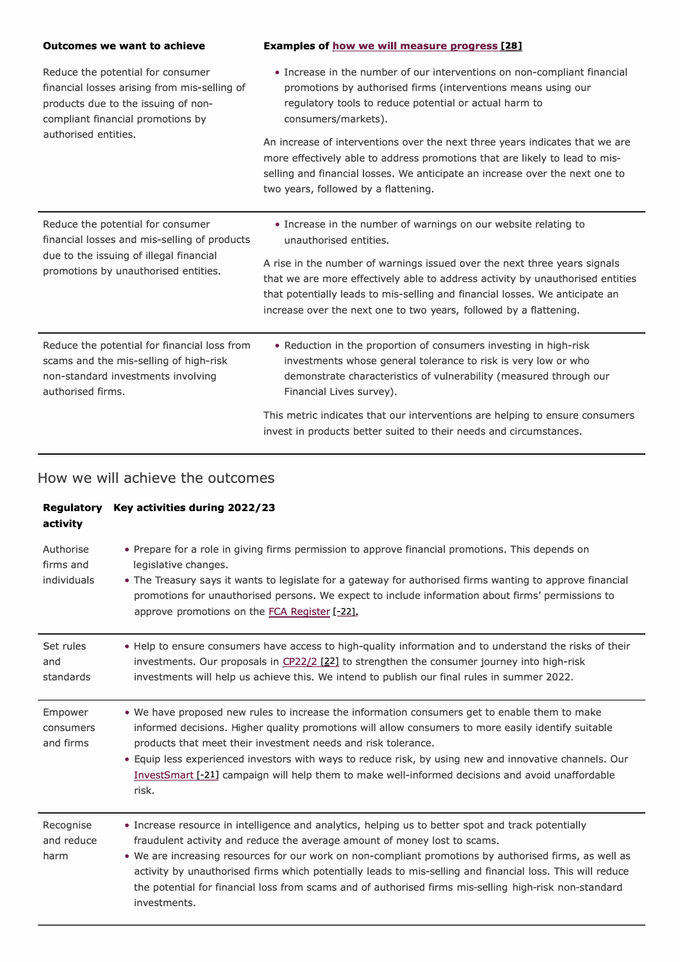| <b>Outcomes we want to achieve</b>                                                                                                                                   | <b>Examples of how we will measure progress [28]</b>                                                                                                                                                                                                                                                                                                                                                           |  |
|----------------------------------------------------------------------------------------------------------------------------------------------------------------------|----------------------------------------------------------------------------------------------------------------------------------------------------------------------------------------------------------------------------------------------------------------------------------------------------------------------------------------------------------------------------------------------------------------|--|
| Reduce the potential for consumer<br>financial losses arising from mis-selling of<br>products due to the issuing of non-<br>compliant financial promotions by        | • Increase in the number of our interventions on non-compliant financial<br>promotions by authorised firms (interventions means using our<br>regulatory tools to reduce potential or actual harm to<br>consumers/markets).                                                                                                                                                                                     |  |
| authorised entities.                                                                                                                                                 | An increase of interventions over the next three years indicates that we are<br>more effectively able to address promotions that are likely to lead to mis-<br>selling and financial losses. We anticipate an increase over the next one to<br>two years, followed by a flattening.                                                                                                                            |  |
| Reduce the potential for consumer<br>financial losses and mis-selling of products<br>due to the issuing of illegal financial<br>promotions by unauthorised entities. | • Increase in the number of warnings on our website relating to<br>unauthorised entities.<br>A rise in the number of warnings issued over the next three years signals<br>that we are more effectively able to address activity by unauthorised entities<br>that potentially leads to mis-selling and financial losses. We anticipate an<br>increase over the next one to two years, followed by a flattening. |  |
| Reduce the potential for financial loss from<br>scams and the mis-selling of high-risk<br>non-standard investments involving<br>authorised firms.                    | • Reduction in the proportion of consumers investing in high-risk<br>investments whose general tolerance to risk is very low or who<br>demonstrate characteristics of vulnerability (measured through our<br>Financial Lives survey).<br>This metric indicates that our interventions are helping to ensure consumers<br>invest in products better suited to their needs and circumstances.                    |  |
|                                                                                                                                                                      |                                                                                                                                                                                                                                                                                                                                                                                                                |  |

| Regulatory<br>activity                | Key activities during 2022/23                                                                                                                                                                                                                                                                                                                                                                                                                                                                                                     |
|---------------------------------------|-----------------------------------------------------------------------------------------------------------------------------------------------------------------------------------------------------------------------------------------------------------------------------------------------------------------------------------------------------------------------------------------------------------------------------------------------------------------------------------------------------------------------------------|
| Authorise<br>firms and<br>individuals | • Prepare for a role in giving firms permission to approve financial promotions. This depends on<br>legislative changes.<br>• The Treasury says it wants to legislate for a gateway for authorised firms wanting to approve financial<br>promotions for unauthorised persons. We expect to include information about firms' permissions to<br>approve promotions on the FCA Register [-22].                                                                                                                                       |
| Set rules<br>and<br>standards         | . Help to ensure consumers have access to high-quality information and to understand the risks of their<br>investments. Our proposals in CP22/2 [22] to strengthen the consumer journey into high-risk<br>investments will help us achieve this. We intend to publish our final rules in summer 2022.                                                                                                                                                                                                                             |
| Empower<br>consumers<br>and firms     | . We have proposed new rules to increase the information consumers get to enable them to make<br>informed decisions. Higher quality promotions will allow consumers to more easily identify suitable<br>products that meet their investment needs and risk tolerance.<br>• Equip less experienced investors with ways to reduce risk, by using new and innovative channels. Our<br>InvestSmart [-21] campaign will help them to make well-informed decisions and avoid unaffordable<br>risk.                                      |
| Recognise<br>and reduce<br>harm       | • Increase resource in intelligence and analytics, helping us to better spot and track potentially<br>fraudulent activity and reduce the average amount of money lost to scams.<br>. We are increasing resources for our work on non-compliant promotions by authorised firms, as well as<br>activity by unauthorised firms which potentially leads to mis-selling and financial loss. This will reduce<br>the potential for financial loss from scams and of authorised firms mis-selling high-risk non-standard<br>investments. |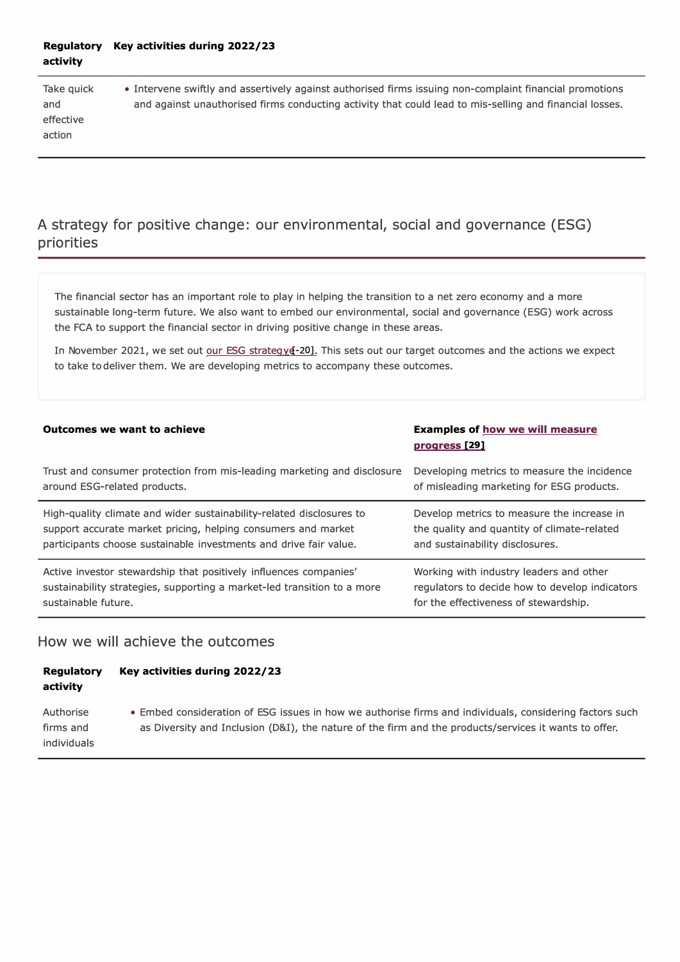#### **Regulatory Key activities during 2022/23 activity**

effective action

Take quick • Intervene swiftly and assertively against authorised firms issuing non-complaint financial promotions and and against unauthorised firms conducting activity that could lead to mis-selling and financial losses.

# **A strategy for positive change : our environmental, social and governance ( ESG) priorities**

The financial sector has an important role to play in helping the transition to a net zero economy and a more sustainable long-term future. We also want to embed our environmental, social and governance (ESG) work across the FCA to support the financial sector in driving positive change in these areas.

In November 2021, we set out our ESG strategy&-20]. This sets out our target outcomes and the actions we expect to take to deliver them. We are developing metrics to accompany these outcomes.

| Outcomes we want to achieve                                             | <b>Examples of how we will measure</b><br><u>progress</u> [29] |
|-------------------------------------------------------------------------|----------------------------------------------------------------|
| Trust and consumer protection from mis-leading marketing and disclosure | Developing metrics to measure the incidence                    |
| around ESG-related products.                                            | of misleading marketing for ESG products.                      |
| High-quality climate and wider sustainability-related disclosures to    | Develop metrics to measure the increase in                     |
| support accurate market pricing, helping consumers and market           | the quality and quantity of climate-related                    |
| participants choose sustainable investments and drive fair value.       | and sustainability disclosures.                                |
| Active investor stewardship that positively influences companies'       | Working with industry leaders and other                        |
| sustainability strategies, supporting a market-led transition to a more | regulators to decide how to develop indicators                 |
| sustainable future.                                                     | for the effectiveness of stewardship.                          |

### **How we will achieve the outcomes**

| Regulatory | Key activities during 2022/23 |
|------------|-------------------------------|
| activity   |                               |

Authorise • Embed consideration of ESG issues in how we authorise firms and individuals, considering factors such firms and as Diversity and Inclusion (D&I), the nature of the firm and the products/services it wants to offer. individuals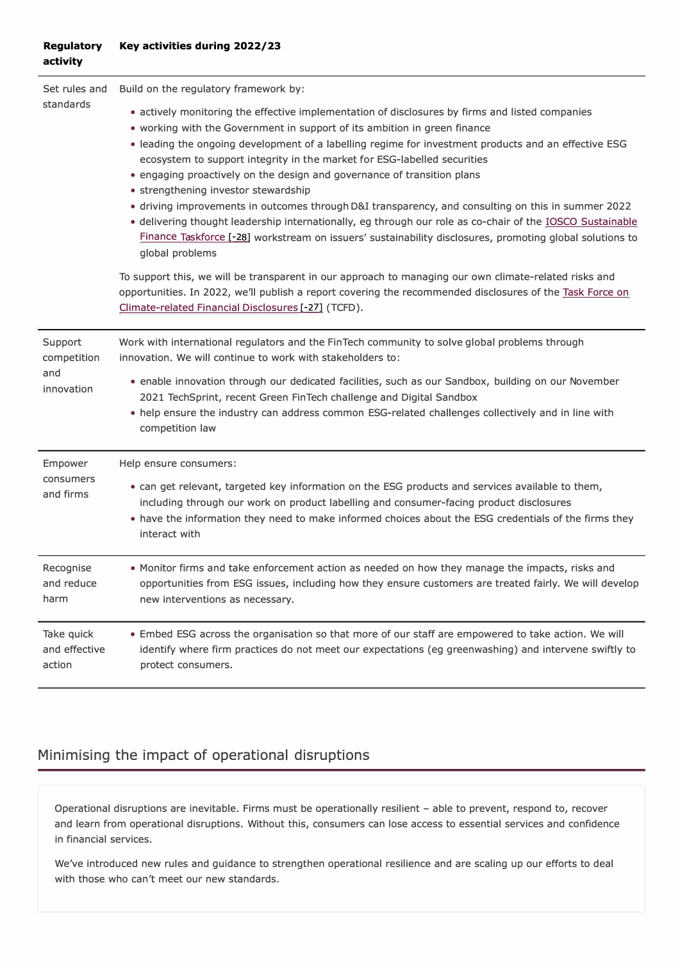#### **Regulatory Key activities during 2022/23 activity**

| Set rules and<br>standards                  | Build on the regulatory framework by:                                                                                                                                                                                                                                                                                                                                                                                                                                                                                                                                                                                                                                                                                                                                                                                                        |
|---------------------------------------------|----------------------------------------------------------------------------------------------------------------------------------------------------------------------------------------------------------------------------------------------------------------------------------------------------------------------------------------------------------------------------------------------------------------------------------------------------------------------------------------------------------------------------------------------------------------------------------------------------------------------------------------------------------------------------------------------------------------------------------------------------------------------------------------------------------------------------------------------|
|                                             | • actively monitoring the effective implementation of disclosures by firms and listed companies<br>• working with the Government in support of its ambition in green finance<br>. leading the ongoing development of a labelling regime for investment products and an effective ESG<br>ecosystem to support integrity in the market for ESG-labelled securities<br>• engaging proactively on the design and governance of transition plans<br>• strengthening investor stewardship<br>• driving improvements in outcomes through D&I transparency, and consulting on this in summer 2022<br>· delivering thought leadership internationally, eg through our role as co-chair of the <b>IOSCO Sustainable</b><br>Finance Taskforce [-28] workstream on issuers' sustainability disclosures, promoting global solutions to<br>global problems |
|                                             | To support this, we will be transparent in our approach to managing our own climate-related risks and<br>opportunities. In 2022, we'll publish a report covering the recommended disclosures of the Task Force on<br>Climate-related Financial Disclosures [-27] (TCFD).                                                                                                                                                                                                                                                                                                                                                                                                                                                                                                                                                                     |
| Support<br>competition<br>and<br>innovation | Work with international regulators and the FinTech community to solve global problems through<br>innovation. We will continue to work with stakeholders to:<br>. enable innovation through our dedicated facilities, such as our Sandbox, building on our November<br>2021 TechSprint, recent Green FinTech challenge and Digital Sandbox<br>. help ensure the industry can address common ESG-related challenges collectively and in line with<br>competition law                                                                                                                                                                                                                                                                                                                                                                           |
| Empower<br>consumers<br>and firms           | Help ensure consumers:<br>• can get relevant, targeted key information on the ESG products and services available to them,<br>including through our work on product labelling and consumer-facing product disclosures<br>. have the information they need to make informed choices about the ESG credentials of the firms they<br>interact with                                                                                                                                                                                                                                                                                                                                                                                                                                                                                              |
| Recognise<br>and reduce<br>harm             | . Monitor firms and take enforcement action as needed on how they manage the impacts, risks and<br>opportunities from ESG issues, including how they ensure customers are treated fairly. We will develop<br>new interventions as necessary.                                                                                                                                                                                                                                                                                                                                                                                                                                                                                                                                                                                                 |
| Take quick<br>and effective<br>action       | . Embed ESG across the organisation so that more of our staff are empowered to take action. We will<br>identify where firm practices do not meet our expectations (eg greenwashing) and intervene swiftly to<br>protect consumers.                                                                                                                                                                                                                                                                                                                                                                                                                                                                                                                                                                                                           |

# **Minimising the impact of operational disruptions**

Operational disruptions are inevitable. Firms must be operationally resilient - able to prevent, respond to, recover and learn from operational disruptions. Without this, consumers can lose access to essential services and confidence in financial services.

We've introduced new rules and guidance to strengthen operational resilience and are scaling up our efforts to deal with those who can't meet our new standards.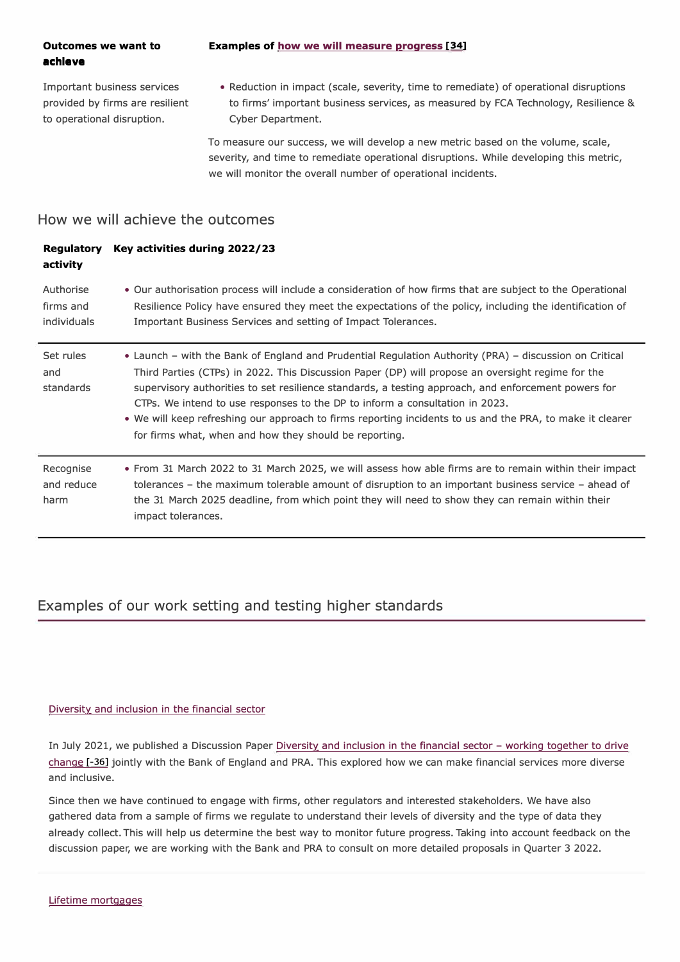# **achieve**

Important business services provided by firms are resilient to operational disruption.

• Reduction in impact (scale, severity, time to remediate) of operational disruptions to firms' important business services, as measured by FCA Technology, Resilience & Cyber Department.

To measure our success, we will develop a new metric based on the volume, scale, severity, and time to remediate operational disruptions. While developing this metric, we will monitor the overall number of operational incidents.

### **How we will achieve the outcomes**

#### **Regulatory Key activities during 2022/23 activity**

| Authorise<br>firms and<br>individuals | • Our authorisation process will include a consideration of how firms that are subject to the Operational<br>Resilience Policy have ensured they meet the expectations of the policy, including the identification of<br>Important Business Services and setting of Impact Tolerances.                                                                                                                                                                                                                                                                                    |
|---------------------------------------|---------------------------------------------------------------------------------------------------------------------------------------------------------------------------------------------------------------------------------------------------------------------------------------------------------------------------------------------------------------------------------------------------------------------------------------------------------------------------------------------------------------------------------------------------------------------------|
| Set rules<br>and<br>standards         | • Launch – with the Bank of England and Prudential Regulation Authority (PRA) – discussion on Critical<br>Third Parties (CTPs) in 2022. This Discussion Paper (DP) will propose an oversight regime for the<br>supervisory authorities to set resilience standards, a testing approach, and enforcement powers for<br>CTPs. We intend to use responses to the DP to inform a consultation in 2023.<br>. We will keep refreshing our approach to firms reporting incidents to us and the PRA, to make it clearer<br>for firms what, when and how they should be reporting. |
| Recognise<br>and reduce<br>harm       | • From 31 March 2022 to 31 March 2025, we will assess how able firms are to remain within their impact<br>tolerances – the maximum tolerable amount of disruption to an important business service – ahead of<br>the 31 March 2025 deadline, from which point they will need to show they can remain within their<br>impact tolerances.                                                                                                                                                                                                                                   |

### **Examples of our work setting and testing higher standards**

#### Diversity and inclusion in the financial sector

In July 2021, we published a Discussion Paper Diversity and inclusion in the financial sector - working together to drive change [-36] jointly with the Bank of England and PRA. This explored how we can make financial services more diverse and inclusive.

Since then we have continued to engage with firms, other regulators and interested stakeholders. We have also gathered data from a sample of firms we regulate to understand their levels of diversity and the type of data they already collect. This will help us determine the best way to monitor future progress. Taking into account feedback on the discussion paper, we are working with the Bank and PRA to consult on more detailed proposals in Quarter 3 2022.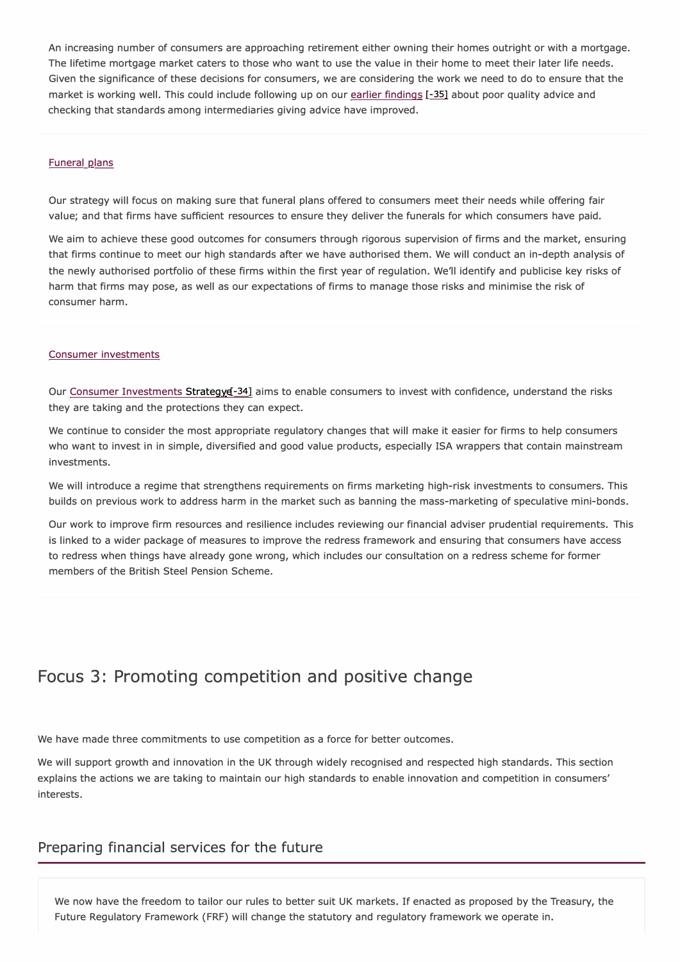An increasing number of consumers are approaching retirement either owning their homes outright or with a mortgage. The lifetime mortgage market caters to those who want to use the value in their home to meet their later life needs. Given the significance of these decisions for consumers, we are considering the work we need to do to ensure that the market is working well. This could include following up on our earlier findings [-35] about poor quality advice and checking that standards among intermediaries giving advice have improved.

#### **Funeral plans**

Our strategy will focus on making sure that funeral plans offered to consumers meet their needs while offering fair value; and that firms have sufficient resources to ensure they deliver the funerals for which consumers have paid.

We aim to achieve these good outcomes for consumers through rigorous supervision of firms and the market, ensuring that firms continue to meet our high standards after we have authorised them. We will conduct an in-depth analysis of the newly authorised portfolio of these firms within the first year of regulation. We'll identify and publicise key risks of harm that firms may pose, as well as our expectations of firms to manage those risks and minimise the risk of consumer harm.

#### Consumer investments

Our Consumer Investments Strategy e<sup>-34</sup>] aims to enable consumers to invest with confidence, understand the risks they are taking and the protections they can expect.

We continue to consider the most appropriate regulatory changes that will make it easier for firms to help consumers who want to invest in in simple, diversified and good value products, especially ISA wrappers that contain mainstream investments.

We will introduce a regime that strengthens requirements on firms marketing high-risk investments to consumers. This builds on previous work to address harm in the market such as banning the mass-marketing of speculative mini-bonds.

Our work to improve firm resources and resilience includes reviewing our financial adviser prudential requirements. This is linked to a wider package of measures to improve the redress framework and ensuring that consumers have access to redress when things have already gone wrong, which includes our consultation on a redress scheme for former members of the British Steel Pension Scheme.

# **Focus 3: Promoting competition and positive change**

We have made three commitments to use competition as a force for better outcomes.

We will support growth and innovation in the UK through widely recognised and respected high standards. This section explains the actions we are taking to maintain our high standards to enable innovation and competition in consumers' interests.

#### **Preparing financial services for the future**

We now have the freedom to tailor our rules to better suit UK markets. If enacted as proposed by the Treasury, the Future Regulatory Framework (FRF) will change the statutory and regulatory framework we operate in.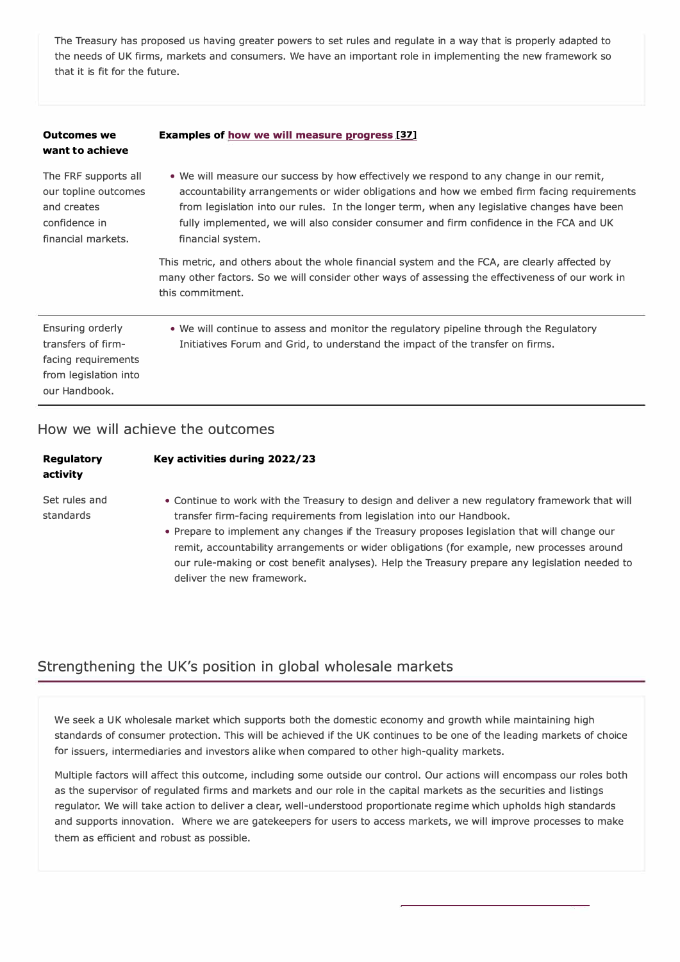The Treasury has proposed us having greater powers to set rules and regulate in a way that is properly adapted to the needs of UK firms, markets and consumers. We have an important role in implementing the new framework so that it is fit for the future.

| <b>Outcomes we</b><br>want to achieve                                                                   | <b>Examples of how we will measure progress [37]</b>                                                                                                                                                                                                                                                                                                                                                 |
|---------------------------------------------------------------------------------------------------------|------------------------------------------------------------------------------------------------------------------------------------------------------------------------------------------------------------------------------------------------------------------------------------------------------------------------------------------------------------------------------------------------------|
| The FRF supports all<br>our topline outcomes<br>and creates<br>confidence in<br>financial markets.      | • We will measure our success by how effectively we respond to any change in our remit,<br>accountability arrangements or wider obligations and how we embed firm facing requirements<br>from legislation into our rules. In the longer term, when any legislative changes have been<br>fully implemented, we will also consider consumer and firm confidence in the FCA and UK<br>financial system. |
|                                                                                                         | This metric, and others about the whole financial system and the FCA, are clearly affected by<br>many other factors. So we will consider other ways of assessing the effectiveness of our work in<br>this commitment.                                                                                                                                                                                |
| Ensuring orderly<br>transfers of firm-<br>facing requirements<br>from legislation into<br>our Handbook. | • We will continue to assess and monitor the regulatory pipeline through the Regulatory<br>Initiatives Forum and Grid, to understand the impact of the transfer on firms.                                                                                                                                                                                                                            |
|                                                                                                         |                                                                                                                                                                                                                                                                                                                                                                                                      |

### **How we will achieve the outcomes**

| Regulatory<br>activity     | Key activities during 2022/23                                                                                                                                                                                                                                                                                                                                                                                                                                                                          |
|----------------------------|--------------------------------------------------------------------------------------------------------------------------------------------------------------------------------------------------------------------------------------------------------------------------------------------------------------------------------------------------------------------------------------------------------------------------------------------------------------------------------------------------------|
| Set rules and<br>standards | • Continue to work with the Treasury to design and deliver a new regulatory framework that will<br>transfer firm-facing requirements from legislation into our Handbook.<br>• Prepare to implement any changes if the Treasury proposes legislation that will change our<br>remit, accountability arrangements or wider obligations (for example, new processes around<br>our rule-making or cost benefit analyses). Help the Treasury prepare any legislation needed to<br>deliver the new framework. |

### **Strengthening the UK's position in global wholesale markets**

We seek a UK wholesale market which supports both the domestic economy and growth while maintaining high standards of consumer protection. This will be achieved if the UK continues to be one of the leading markets of choice for issuers, intermediaries and investors alike when compared to other high-quality markets.

Multiple factors will affect this outcome, including some outside our control. Our actions will encompass our roles both as the supervisor of regulated firms and markets and our role in the capital markets as the securities and listings regulator. We will take action to deliver a clear, well-understood proportionate regime which upholds high standards and supports innovation. Where we are gatekeepers for users to access markets, we will improve processes to make them as efficient and robust as possible.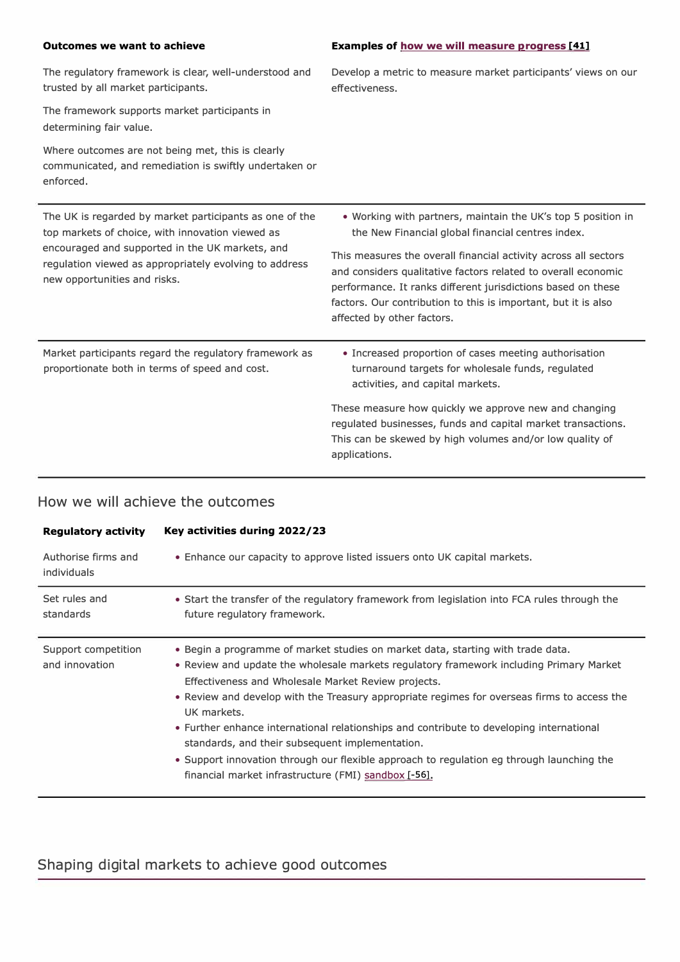| <b>Outcomes we want to achieve</b>                                                                                                                             | <b>Examples of how we will measure progress [41]</b>                                                                                                                                                                                                                                             |
|----------------------------------------------------------------------------------------------------------------------------------------------------------------|--------------------------------------------------------------------------------------------------------------------------------------------------------------------------------------------------------------------------------------------------------------------------------------------------|
| The regulatory framework is clear, well-understood and<br>trusted by all market participants.                                                                  | Develop a metric to measure market participants' views on our<br>effectiveness.                                                                                                                                                                                                                  |
| The framework supports market participants in<br>determining fair value.                                                                                       |                                                                                                                                                                                                                                                                                                  |
| Where outcomes are not being met, this is clearly<br>communicated, and remediation is swiftly undertaken or<br>enforced.                                       |                                                                                                                                                                                                                                                                                                  |
| The UK is regarded by market participants as one of the<br>top markets of choice, with innovation viewed as<br>encouraged and supported in the UK markets, and | . Working with partners, maintain the UK's top 5 position in<br>the New Financial global financial centres index.                                                                                                                                                                                |
| regulation viewed as appropriately evolving to address<br>new opportunities and risks.                                                                         | This measures the overall financial activity across all sectors<br>and considers qualitative factors related to overall economic<br>performance. It ranks different jurisdictions based on these<br>factors. Our contribution to this is important, but it is also<br>affected by other factors. |
| Market participants regard the regulatory framework as<br>proportionate both in terms of speed and cost.                                                       | • Increased proportion of cases meeting authorisation<br>turnaround targets for wholesale funds, regulated<br>activities, and capital markets.                                                                                                                                                   |
|                                                                                                                                                                | These measure how quickly we approve new and changing<br>regulated businesses, funds and capital market transactions.<br>This can be skewed by high volumes and/or low quality of<br>applications.                                                                                               |

# **How we will achieve the outcomes**

| <b>Regulatory activity</b>            | Key activities during 2022/23                                                                                                                                                                                                                                                                                                                                                                                                                                                                                                                                                                                                                       |
|---------------------------------------|-----------------------------------------------------------------------------------------------------------------------------------------------------------------------------------------------------------------------------------------------------------------------------------------------------------------------------------------------------------------------------------------------------------------------------------------------------------------------------------------------------------------------------------------------------------------------------------------------------------------------------------------------------|
| Authorise firms and<br>individuals    | • Enhance our capacity to approve listed issuers onto UK capital markets.                                                                                                                                                                                                                                                                                                                                                                                                                                                                                                                                                                           |
| Set rules and<br>standards            | • Start the transfer of the regulatory framework from legislation into FCA rules through the<br>future regulatory framework.                                                                                                                                                                                                                                                                                                                                                                                                                                                                                                                        |
| Support competition<br>and innovation | . Begin a programme of market studies on market data, starting with trade data.<br>. Review and update the wholesale markets regulatory framework including Primary Market<br>Effectiveness and Wholesale Market Review projects.<br>• Review and develop with the Treasury appropriate regimes for overseas firms to access the<br>UK markets.<br>• Further enhance international relationships and contribute to developing international<br>standards, and their subsequent implementation.<br>• Support innovation through our flexible approach to regulation eg through launching the<br>financial market infrastructure (FMI) sandbox [-56]. |

# **Shaping digital markets to achieve good outcomes**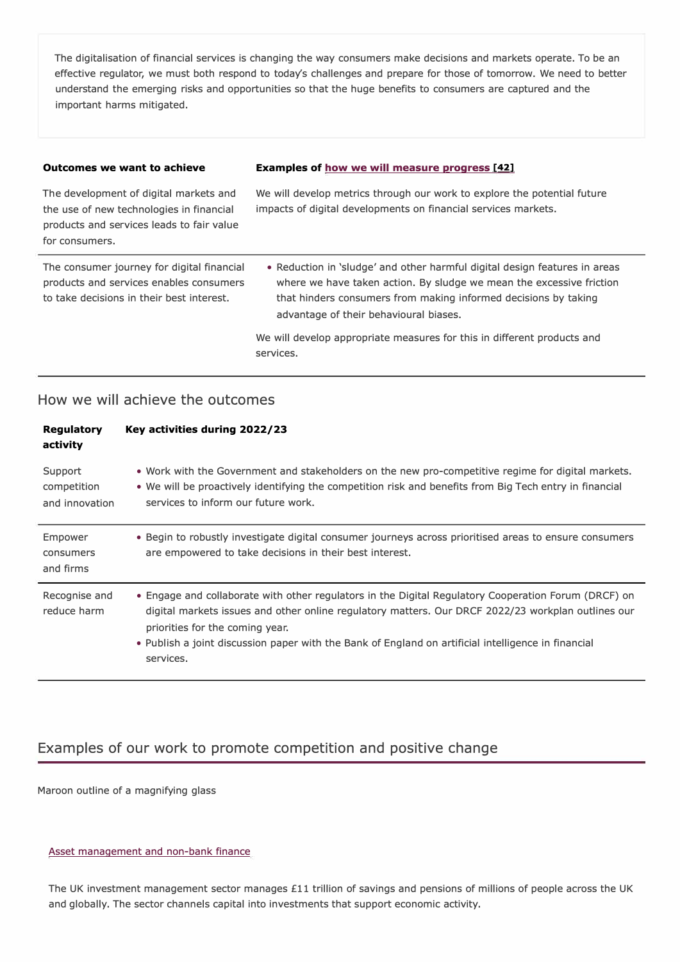The digitalisation of financial services is changing the way consumers make decisions and markets operate. To be an effective regulator, we must both respond to today's challenges and prepare for those of tomorrow. We need to better understand the emerging risks and opportunities so that the huge benefits to consumers are captured and the important harms mitigated.

#### **Outcomes we want to achieve**

#### **Examples of how we will measure progress [42]**

We will develop metrics through our work to explore the potential future impacts of digital developments on financial services markets. • Reduction in 'sludge' and other harmful digital design features in areas where we have taken action. By sludge we mean the excessive friction The development of digital markets and the use of new technologies in financial products and services leads to fair value for consumers. The consumer journey for digital financial products and services enables consumers to take decisions in their best interest. That hinders consumers from making informed decisions by taking advantage of their behavioural biases. We will develop appropriate measures for this in different products and services.

### **How we will achieve the outcomes**

| <b>Regulatory</b><br>activity            | Key activities during 2022/23                                                                                                                                                                                                                                                                                                                                     |
|------------------------------------------|-------------------------------------------------------------------------------------------------------------------------------------------------------------------------------------------------------------------------------------------------------------------------------------------------------------------------------------------------------------------|
| Support<br>competition<br>and innovation | • Work with the Government and stakeholders on the new pro-competitive regime for digital markets.<br>• We will be proactively identifying the competition risk and benefits from Big Tech entry in financial<br>services to inform our future work.                                                                                                              |
| Empower<br>consumers<br>and firms        | . Begin to robustly investigate digital consumer journeys across prioritised areas to ensure consumers<br>are empowered to take decisions in their best interest.                                                                                                                                                                                                 |
| Recognise and<br>reduce harm             | • Engage and collaborate with other regulators in the Digital Regulatory Cooperation Forum (DRCF) on<br>digital markets issues and other online regulatory matters. Our DRCF 2022/23 workplan outlines our<br>priorities for the coming year.<br>• Publish a joint discussion paper with the Bank of England on artificial intelligence in financial<br>services. |

### **Examples of our work to promote competition and positive change**

Maroon outline of a magnifying glass

#### Asset management and non-bank finance

The UK investment management sector manages £11 trillion of savings and pensions of millions of people across the UK and globally. The sector channels capital into investments that support economic activity.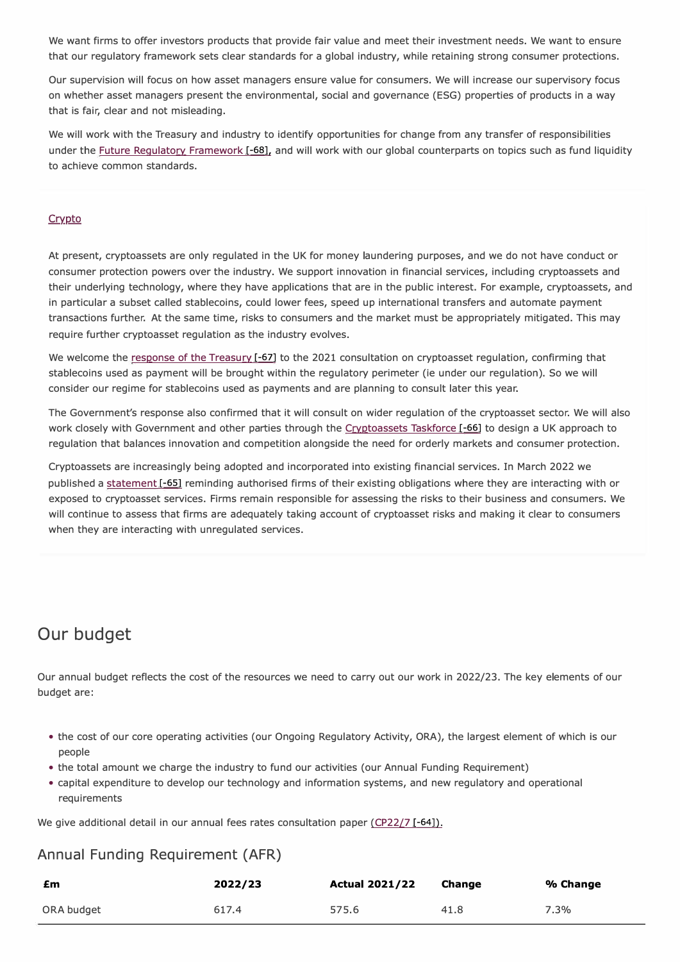We want firms to offer investors products that provide fair value and meet their investment needs. We want to ensure that our regulatory framework sets clear standards for a global industry, while retaining strong consumer protections.

Our supervision will focus on how asset managers ensure value for consumers. We will increase our supervisory focus on whether asset managers present the environmental, social and governance (ESG) properties of products in a way that is fair, clear and not misleading.

We will work with the Treasury and industry to identify opportunities for change from any transfer of responsibilities under the Future Regulatory Framework [-68], and will work with our global counterparts on topics such as fund liquidity to achieve common standards.

#### Crypto

At present, cryptoassets are only regulated in the UK for money laundering purposes, and we do not have conduct or consumer protection powers over the industry. We support innovation in financial services, including cryptoassets and their underlying technology, where they have applications that are in the public interest. For example, cryptoassets, and in particular a subset called stablecoins, could lower fees, speed up international transfers and automate payment transactions further. At the same time, risks to consumers and the market must be appropriately mitigated. This may require further cryptoasset regulation as the industry evolves.

We welcome the response of the Treasury [-67] to the 2021 consultation on cryptoasset regulation, confirming that stablecoins used as payment will be brought within the regulatory perimeter (ie under our regulation). So we will consider our regime for stablecoins used as payments and are planning to consult later this year.

The Government's response also confirmed that it will consult on wider regulation of the cryptoasset sector. We will also work closely with Government and other parties through the Cryptoassets Taskforce [-66] to design a UK approach to regulation that balances innovation and competition alongside the need for orderly markets and consumer protection.

Cryptoassets are increasingly being adopted and incorporated into existing financial services. In March 2022 we published a statement [-65] reminding authorised firms of their existing obligations where they are interacting with or exposed to cryptoasset services. Firms remain responsible for assessing the risks to their business and consumers. We will continue to assess that firms are adequately taking account of cryptoasset risks and making it clear to consumers when they are interacting with unregulated services.

# **Our budget**

Our annual budget reflects the cost of the resources we need to carry out our work in 2022/23. The key elements of our budget are:

- the cost of our core operating activities (our Ongoing Regulatory Activity, ORA), the largest element of which is our people
- the total amount we charge the industry to fund our activities (our Annual Funding Requirement)
- capital expenditure to develop our technology and information systems, and new regulatory and operational requirements

We give additional detail in our annual fees rates consultation paper (CP22/7  $[-64]$ ).

### **An nual Fu nding Req uirement (AFR)**

| £m         | 2022/23 | <b>Actual 2021/22</b> | <b>Change</b> | % Change |
|------------|---------|-----------------------|---------------|----------|
| ORA budget | 617.4   | 575.6                 | 41.8          | 7.3%     |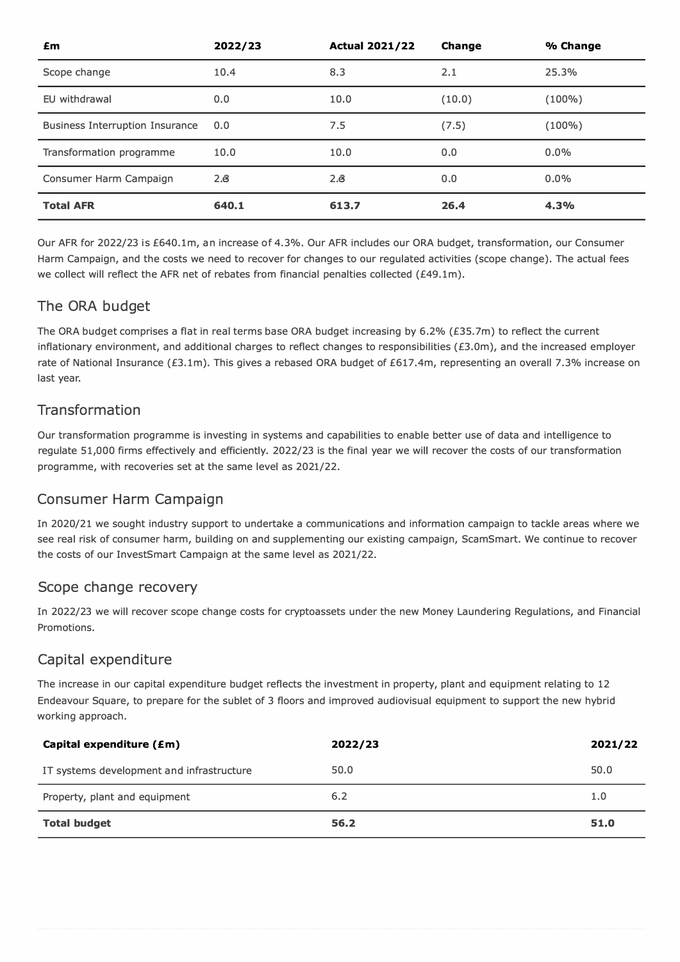| £m                                     | 2022/23 | <b>Actual 2021/22</b> | <b>Change</b> | % Change |
|----------------------------------------|---------|-----------------------|---------------|----------|
| Scope change                           | 10.4    | 8.3                   | 2.1           | 25.3%    |
| EU withdrawal                          | 0.0     | 10.0                  | (10.0)        | (100%)   |
| <b>Business Interruption Insurance</b> | 0.0     | 7.5                   | (7.5)         | (100%)   |
| Transformation programme               | 10.0    | 10.0                  | 0.0           | $0.0\%$  |
| Consumer Harm Campaign                 | 2.8     | $2.\overline{6}$      | 0.0           | $0.0\%$  |
| <b>Total AFR</b>                       | 640.1   | 613.7                 | 26.4          | 4.3%     |

Our AFR for 2022/23 is £640.lm, an increase of 4. 3%. Our AFR includes our ORA budget, transformation, our Consumer Harm Campaign, and the costs we need to recover for changes to our regulated activities (scope change). The actual fees we collect will reflect the AFR net of rebates from financial penalties collected (£49.1m).

### The ORA budget

The ORA budget comprises a flat in real terms base ORA budget increasing by 6.2% (£35.7m) to reflect the current inflationary environment, and additional charges to reflect changes to responsibilities (£3.0m), and the increased employer rate of National Insurance (£3.1m). This gives a rebased ORA budget of £617.4m, representing an overall 7.3% increase on last year.

### **Transformation**

Our transformation programme is investing in systems and capabilities to enable better use of data and intelligence to regulate 5 1,000 firms effectively and efficiently. 2022/23 is the final year we will recover the costs of our transformation programme, with recoveries set at the same level as 2021/22.

### **Consumer Harm Campaign**

In 2020/21 we sought industry support to undertake a communications and information campaign to tackle areas where we see real risk of consumer harm, building on and supplementing our existing campaign, ScamSmart. We continue to recover the costs of our InvestSmart Campaign at the same level as 2021/22.

### **Scope change recovery**

In 2022/23 we will recover scope change costs for cryptoassets under the new Money Laundering Regulations, and Financial Promotions.

### **Capital expenditure**

The increase in our capital expenditure budget reflects the investment in property, plant and equipment relating to 12 Endeavour Square, to prepare for the sublet of 3 floors and improved audiovisual equipment to support the new hybrid working approach.

| IT systems development and infrastructure | 50.0 | 50.0 |
|-------------------------------------------|------|------|
| Property, plant and equipment             | 6.2  | 1.0  |
|                                           |      |      |